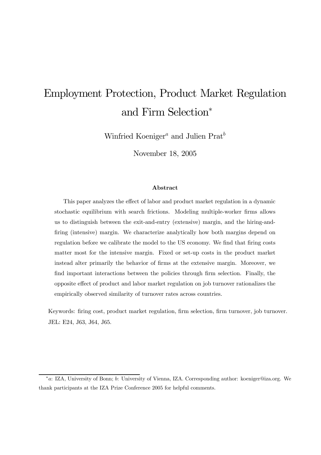# Employment Protection, Product Market Regulation and Firm Selection<sup>∗</sup>

Winfried Koeniger<sup>*a*</sup> and Julien Prat<sup>b</sup>

November 18, 2005

#### Abstract

This paper analyzes the effect of labor and product market regulation in a dynamic stochastic equilibrium with search frictions. Modeling multiple-worker firms allows us to distinguish between the exit-and-entry (extensive) margin, and the hiring-andfiring (intensive) margin. We characterize analytically how both margins depend on regulation before we calibrate the model to the US economy. We find that firing costs matter most for the intensive margin. Fixed or set-up costs in the product market instead alter primarily the behavior of firms at the extensive margin. Moreover, we find important interactions between the policies through firm selection. Finally, the opposite effect of product and labor market regulation on job turnover rationalizes the empirically observed similarity of turnover rates across countries.

Keywords: firing cost, product market regulation, firm selection, firm turnover, job turnover. JEL: E24, J63, J64, J65.

<sup>∗</sup>a: IZA, University of Bonn; b: University of Vienna, IZA. Corresponding author: koeniger@iza.org. We thank participants at the IZA Prize Conference 2005 for helpful comments.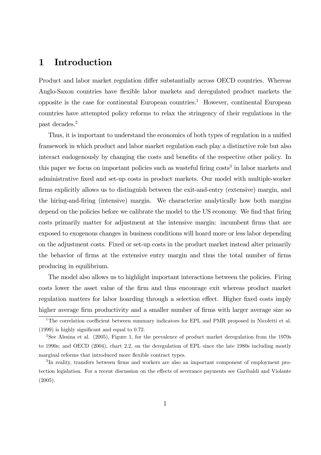### 1 Introduction

Product and labor market regulation differ substantially across OECD countries. Whereas Anglo-Saxon countries have flexible labor markets and deregulated product markets the opposite is the case for continental European countries.<sup>1</sup> However, continental European countries have attempted policy reforms to relax the stringency of their regulations in the past decades.2

Thus, it is important to understand the economics of both types of regulation in a unified framework in which product and labor market regulation each play a distinctive role but also interact endogenously by changing the costs and benefits of the respective other policy. In this paper we focus on important policies such as wasteful firing costs<sup>3</sup> in labor markets and administrative fixed and set-up costs in product markets. Our model with multiple-worker firms explicitly allows us to distinguish between the exit-and-entry (extensive) margin, and the hiring-and-firing (intensive) margin. We characterize analytically how both margins depend on the policies before we calibrate the model to the US economy. We find that firing costs primarily matter for adjustment at the intensive margin: incumbent firms that are exposed to exogenous changes in business conditions will hoard more or less labor depending on the adjustment costs. Fixed or set-up costs in the product market instead alter primarily the behavior of firms at the extensive entry margin and thus the total number of firms producing in equilibrium.

The model also allows us to highlight important interactions between the policies. Firing costs lower the asset value of the firm and thus encourage exit whereas product market regulation matters for labor hoarding through a selection effect. Higher fixed costs imply higher average firm productivity and a smaller number of firms with larger average size so

<sup>&</sup>lt;sup>1</sup>The correlation coefficient between summary indicators for EPL and PMR proposed in Nicoletti et al. (1999) is highly significant and equal to 0.72.

<sup>2</sup>See Alesina et al. (2005), Figure 1, for the prevalence of product market deregulation from the 1970s to 1990s; and OECD (2004), chart 2.2, on the deregulation of EPL since the late 1980s including mostly marginal reforms that introduced more flexible contract types.

<sup>&</sup>lt;sup>3</sup>In reality, transfers between firms and workers are also an important component of employment protection legislation. For a recent discussion on the effects of severance payments see Garibaldi and Violante (2005).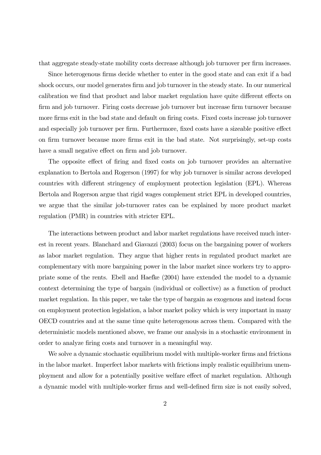that aggregate steady-state mobility costs decrease although job turnover per firm increases.

Since heterogenous firms decide whether to enter in the good state and can exit if a bad shock occurs, our model generates firm and job turnover in the steady state. In our numerical calibration we find that product and labor market regulation have quite different effects on firm and job turnover. Firing costs decrease job turnover but increase firm turnover because more firms exit in the bad state and default on firing costs. Fixed costs increase job turnover and especially job turnover per firm. Furthermore, fixed costs have a sizeable positive effect on firm turnover because more firms exit in the bad state. Not surprisingly, set-up costs have a small negative effect on firm and job turnover.

The opposite effect of firing and fixed costs on job turnover provides an alternative explanation to Bertola and Rogerson (1997) for why job turnover is similar across developed countries with different stringency of employment protection legislation (EPL). Whereas Bertola and Rogerson argue that rigid wages complement strict EPL in developed countries, we argue that the similar job-turnover rates can be explained by more product market regulation (PMR) in countries with stricter EPL.

The interactions between product and labor market regulations have received much interest in recent years. Blanchard and Giavazzi (2003) focus on the bargaining power of workers as labor market regulation. They argue that higher rents in regulated product market are complementary with more bargaining power in the labor market since workers try to appropriate some of the rents. Ebell and Haefke (2004) have extended the model to a dynamic context determining the type of bargain (individual or collective) as a function of product market regulation. In this paper, we take the type of bargain as exogenous and instead focus on employment protection legislation, a labor market policy which is very important in many OECD countries and at the same time quite heterogenous across them. Compared with the deterministic models mentioned above, we frame our analysis in a stochastic environment in order to analyze firing costs and turnover in a meaningful way.

We solve a dynamic stochastic equilibrium model with multiple-worker firms and frictions in the labor market. Imperfect labor markets with frictions imply realistic equilibrium unemployment and allow for a potentially positive welfare effect of market regulation. Although a dynamic model with multiple-worker firms and well-defined firm size is not easily solved,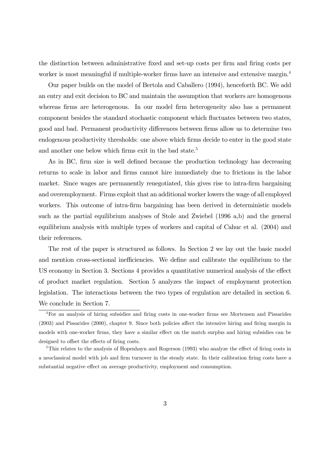the distinction between administrative fixed and set-up costs per firm and firing costs per worker is most meaningful if multiple-worker firms have an intensive and extensive margin.<sup>4</sup>

Our paper builds on the model of Bertola and Caballero (1994), henceforth BC. We add an entry and exit decision to BC and maintain the assumption that workers are homogenous whereas firms are heterogenous. In our model firm heterogeneity also has a permanent component besides the standard stochastic component which fluctuates between two states, good and bad. Permanent productivity differences between firms allow us to determine two endogenous productivity thresholds: one above which firms decide to enter in the good state and another one below which firms exit in the bad state.<sup>5</sup>

As in BC, firm size is well defined because the production technology has decreasing returns to scale in labor and firms cannot hire immediately due to frictions in the labor market. Since wages are permanently renegotiated, this gives rise to intra-firm bargaining and overemployment. Firms exploit that an additional worker lowers the wage of all employed workers. This outcome of intra-firm bargaining has been derived in deterministic models such as the partial equilibrium analyses of Stole and Zwiebel (1996 a,b) and the general equilibrium analysis with multiple types of workers and capital of Cahuc et al. (2004) and their references.

The rest of the paper is structured as follows. In Section 2 we lay out the basic model and mention cross-sectional inefficiencies. We define and calibrate the equilibrium to the US economy in Section 3. Sections 4 provides a quantitative numerical analysis of the effect of product market regulation. Section 5 analyzes the impact of employment protection legislation. The interactions between the two types of regulation are detailed in section 6. We conclude in Section 7.

<sup>4</sup>For an analysis of hiring subsidies and firing costs in one-worker firms see Mortensen and Pissarides (2003) and Pissarides (2000), chapter 9. Since both policies affect the intensive hiring and firing margin in models with one-worker firms, they have a similar effect on the match surplus and hiring subsidies can be designed to offset the effects of firing costs.

<sup>&</sup>lt;sup>5</sup>This relates to the analysis of Hopenhayn and Rogerson (1993) who analyze the effect of firing costs in a neoclassical model with job and firm turnover in the steady state. In their calibration firing costs have a substantial negative effect on average productivity, employment and consumption.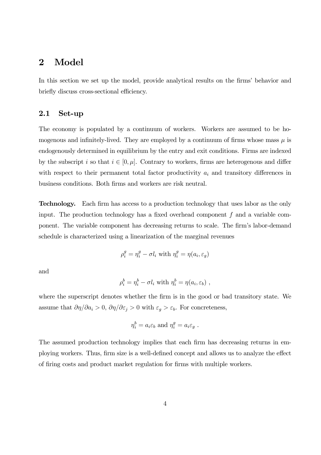### 2 Model

In this section we set up the model, provide analytical results on the firms' behavior and briefly discuss cross-sectional efficiency.

### 2.1 Set-up

The economy is populated by a continuum of workers. Workers are assumed to be homogenous and infinitely-lived. They are employed by a continuum of firms whose mass  $\mu$  is endogenously determined in equilibrium by the entry and exit conditions. Firms are indexed by the subscript i so that  $i \in [0, \mu]$ . Contrary to workers, firms are heterogenous and differ with respect to their permanent total factor productivity  $a_i$  and transitory differences in business conditions. Both firms and workers are risk neutral.

Technology. Each firm has access to a production technology that uses labor as the only input. The production technology has a fixed overhead component f and a variable component. The variable component has decreasing returns to scale. The firm's labor-demand schedule is characterized using a linearization of the marginal revenues

$$
\rho_i^g = \eta_i^g - \sigma l_i \text{ with } \eta_i^g = \eta(a_i, \varepsilon_g)
$$

and

$$
\rho_i^b = \eta_i^b - \sigma l_i \text{ with } \eta_i^b = \eta(a_i, \varepsilon_b) ,
$$

where the superscript denotes whether the firm is in the good or bad transitory state. We assume that  $\partial \eta / \partial a_i > 0$ ,  $\partial \eta / \partial \varepsilon_j > 0$  with  $\varepsilon_g > \varepsilon_b$ . For concreteness,

$$
\eta_i^b = a_i \varepsilon_b \text{ and } \eta_i^g = a_i \varepsilon_g.
$$

The assumed production technology implies that each firm has decreasing returns in employing workers. Thus, firm size is a well-defined concept and allows us to analyze the effect of firing costs and product market regulation for firms with multiple workers.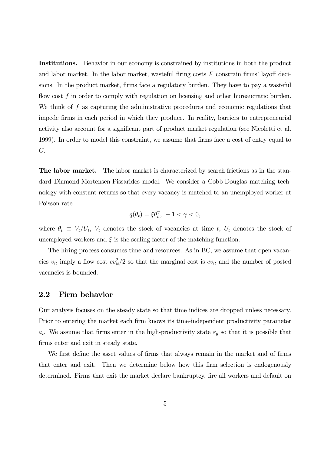Institutions. Behavior in our economy is constrained by institutions in both the product and labor market. In the labor market, wasteful firing costs  $F$  constrain firms' layoff decisions. In the product market, firms face a regulatory burden. They have to pay a wasteful flow cost  $f$  in order to comply with regulation on licensing and other bureaucratic burden. We think of f as capturing the administrative procedures and economic regulations that impede firms in each period in which they produce. In reality, barriers to entrepreneurial activity also account for a significant part of product market regulation (see Nicoletti et al. 1999). In order to model this constraint, we assume that firms face a cost of entry equal to C.

The labor market. The labor market is characterized by search frictions as in the standard Diamond-Mortensen-Pissarides model. We consider a Cobb-Douglas matching technology with constant returns so that every vacancy is matched to an unemployed worker at Poisson rate

$$
q(\theta_t) = \xi \theta_t^{\gamma}, \ -1 < \gamma < 0,
$$

where  $\theta_t \equiv V_t/U_t$ ,  $V_t$  denotes the stock of vacancies at time t,  $U_t$  denotes the stock of unemployed workers and  $\xi$  is the scaling factor of the matching function.

The hiring process consumes time and resources. As in BC, we assume that open vacancies  $v_{it}$  imply a flow cost  $cv_{it}^2/2$  so that the marginal cost is  $cv_{it}$  and the number of posted vacancies is bounded.

### 2.2 Firm behavior

Our analysis focuses on the steady state so that time indices are dropped unless necessary. Prior to entering the market each firm knows its time-independent productivity parameter  $a_i$ . We assume that firms enter in the high-productivity state  $\varepsilon_g$  so that it is possible that firms enter and exit in steady state.

We first define the asset values of firms that always remain in the market and of firms that enter and exit. Then we determine below how this firm selection is endogenously determined. Firms that exit the market declare bankruptcy, fire all workers and default on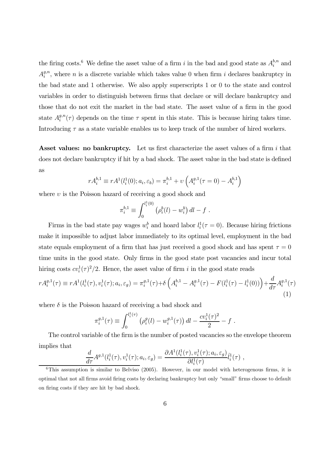the firing costs.<sup>6</sup> We define the asset value of a firm i in the bad and good state as  $A_i^{b,n}$  and  $A_i^{g,n}$ , where *n* is a discrete variable which takes value 0 when firm *i* declares bankruptcy in the bad state and 1 otherwise. We also apply superscripts 1 or 0 to the state and control variables in order to distinguish between firms that declare or will declare bankruptcy and those that do not exit the market in the bad state. The asset value of a firm in the good state  $A_i^{g,n}(\tau)$  depends on the time  $\tau$  spent in this state. This is because hiring takes time. Introducing  $\tau$  as a state variable enables us to keep track of the number of hired workers.

Asset values: no bankruptcy. Let us first characterize the asset values of a firm i that does not declare bankruptcy if hit by a bad shock. The asset value in the bad state is defined as

$$
rA_i^{b,1} \equiv rA^1(l_i^1(0); a_i, \varepsilon_b) = \pi_i^{b,1} + \nu\left(A_i^{g,1}(\tau = 0) - A_i^{b,1}\right)
$$

where  $v$  is the Poisson hazard of receiving a good shock and

$$
\pi_i^{b,1} \equiv \int_0^{l_i^1(0)} \left( \rho_i^b(l) - w_i^b \right) dl - f.
$$

Firms in the bad state pay wages  $w_i^b$  and hoard labor  $l_i^1(\tau = 0)$ . Because hiring frictions make it impossible to adjust labor immediately to its optimal level, employment in the bad state equals employment of a firm that has just received a good shock and has spent  $\tau = 0$ time units in the good state. Only firms in the good state post vacancies and incur total hiring costs  $cv_i^1(\tau)^2/2$ . Hence, the asset value of firm i in the good state reads

$$
rA_i^{g,1}(\tau) \equiv rA^1(l_i^1(\tau), v_i^1(\tau); a_i, \varepsilon_g) = \pi_i^{g,1}(\tau) + \delta \left( A_i^{b,1} - A_i^{g,1}(\tau) - F(l_i^1(\tau) - l_i^1(0)) \right) + \frac{d}{d\tau} A_i^{g,1}(\tau)
$$
\n(1)

where  $\delta$  is the Poisson hazard of receiving a bad shock and

$$
\pi_i^{g,1}(\tau) \equiv \int_0^{l_i^1(\tau)} \left( \rho_i^g(l) - w_i^{g,1}(\tau) \right) dl - \frac{cv_i^1(\tau)^2}{2} - f.
$$

The control variable of the firm is the number of posted vacancies so the envelope theorem implies that

$$
\frac{d}{d\tau}A^{g,1}(l_i^1(\tau),v_i^1(\tau);a_i,\varepsilon_g)=\frac{\partial A^1(l_i^1(\tau),v_i^1(\tau);a_i,\varepsilon_g)}{\partial l_i^1(\tau)}\dot l_i^1(\tau) ,
$$

 $6$ This assumption is similar to Belviso (2005). However, in our model with heterogenous firms, it is optimal that not all firms avoid firing costs by declaring bankruptcy but only "small" firms choose to default on firing costs if they are hit by bad shock.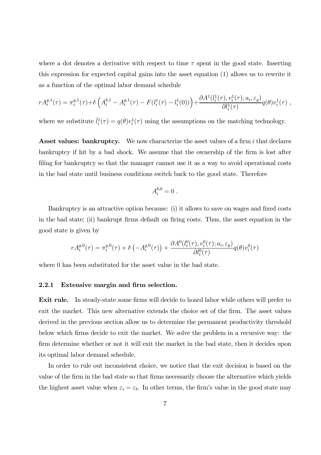where a dot denotes a derivative with respect to time  $\tau$  spent in the good state. Inserting this expression for expected capital gains into the asset equation (1) allows us to rewrite it as a function of the optimal labor demand schedule

$$
r A_i^{g,1}(\tau) = \pi_i^{g,1}(\tau) + \delta \left( A_i^{b,1} - A_i^{g,1}(\tau) - F(l_i^1(\tau) - l_i^1(0)) \right) + \frac{\partial A^1(l_i^1(\tau), v_i^1(\tau); a_i, \varepsilon_g)}{\partial l_i^1(\tau)} q(\theta) v_i^1(\tau) ,
$$

where we substitute  $\dot{l}_i^1(\tau) = q(\theta)v_i^1(\tau)$  using the assumptions on the matching technology.

**Asset values: bankruptcy.** We now characterize the asset values of a firm  $i$  that declares bankruptcy if hit by a bad shock. We assume that the ownership of the firm is lost after filing for bankruptcy so that the manager cannot use it as a way to avoid operational costs in the bad state until business conditions switch back to the good state. Therefore

$$
A_i^{b,0}=0.
$$

Bankruptcy is an attractive option because: (i) it allows to save on wages and fixed costs in the bad state; (ii) bankrupt firms default on firing costs. Thus, the asset equation in the good state is given by

$$
rA_i^{g,0}(\tau) = \pi_i^{g,0}(\tau) + \delta \left( -A_i^{g,0}(\tau) \right) + \frac{\partial A^0(l_i^0(\tau), v_i^0(\tau); a_i, \varepsilon_g)}{\partial l_i^0(\tau)} q(\theta) v_i^0(\tau)
$$

where 0 has been substituted for the asset value in the bad state.

#### 2.2.1 Extensive margin and firm selection.

Exit rule. In steady-state some firms will decide to hoard labor while others will prefer to exit the market. This new alternative extends the choice set of the firm. The asset values derived in the previous section allow us to determine the permanent productivity threshold below which firms decide to exit the market. We solve the problem in a recursive way: the firm determine whether or not it will exit the market in the bad state, then it decides upon its optimal labor demand schedule.

In order to rule out inconsistent choice, we notice that the exit decision is based on the value of the firm in the bad state so that firms necessarily choose the alternative which yields the highest asset value when  $\varepsilon_i = \varepsilon_b$ . In other terms, the firm's value in the good state may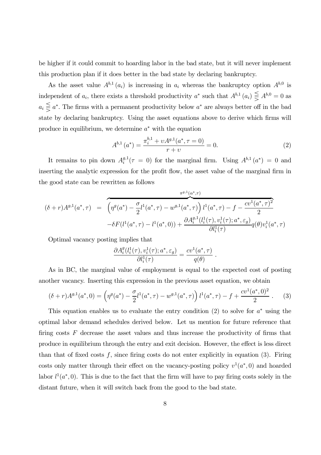be higher if it could commit to hoarding labor in the bad state, but it will never implement this production plan if it does better in the bad state by declaring bankruptcy.

As the asset value  $A^{b,1}(a_i)$  is increasing in  $a_i$  whereas the bankruptcy option  $A^{b,0}$  is independent of  $a_i$ , there exists a threshold productivity  $a^*$  such that  $A^{b,1}(a_i) \leqq A^{b,0} = 0$  as  $a_i \leq a^*$ . The firms with a permanent productivity below  $a^*$  are always better off in the bad state by declaring bankruptcy. Using the asset equations above to derive which firms will produce in equilibrium, we determine  $a^*$  with the equation

$$
A^{b,1}(a^*) = \frac{\pi_i^{b,1} + \nu A^{g,1}(a^*, \tau = 0)}{r + \nu} = 0.
$$
 (2)

It remains to pin down  $A_i^{g,1}(\tau = 0)$  for the marginal firm. Using  $A^{b,1}(a^*) = 0$  and inserting the analytic expression for the profit flow, the asset value of the marginal firm in the good state can be rewritten as follows

$$
(\delta + r)A^{g,1}(a^*, \tau) = \left(\eta^g(a^*) - \frac{\sigma}{2}l^1(a^*, \tau) - w^{g,1}(a^*, \tau)\right)l^1(a^*, \tau) - f - \frac{cv^1(a^*, \tau)^2}{2}
$$

$$
-\delta F(l^1(a^*, \tau) - l^1(a^*, 0)) + \frac{\partial A_i^{g,1}(l_i^1(\tau), v_i^1(\tau); a^*, \varepsilon_g)}{\partial l_i^1(\tau)}q(\theta)v_i^1(a^*, \tau)
$$

Optimal vacancy posting implies that

$$
\frac{\partial A_i^g(l_i^1(\tau), v_i^1(\tau); a^*, \varepsilon_g)}{\partial l_i^1(\tau)} = \frac{cv^1(a^*, \tau)}{q(\theta)}.
$$

As in BC, the marginal value of employment is equal to the expected cost of posting another vacancy. Inserting this expression in the previous asset equation, we obtain

$$
(\delta + r)A^{g,1}(a^*, 0) = \left(\eta^g(a^*) - \frac{\sigma}{2}l^1(a^*, \tau) - w^{g,1}(a^*, \tau)\right)l^1(a^*, \tau) - f + \frac{cv^1(a^*, 0)^2}{2} \,. \tag{3}
$$

This equation enables us to evaluate the entry condition (2) to solve for  $a^*$  using the optimal labor demand schedules derived below. Let us mention for future reference that firing costs  $F$  decrease the asset values and thus increase the productivity of firms that produce in equilibrium through the entry and exit decision. However, the effect is less direct than that of fixed costs  $f$ , since firing costs do not enter explicitly in equation (3). Firing costs only matter through their effect on the vacancy-posting policy  $v^1(a^*,0)$  and hoarded labor  $l^1(a^*, 0)$ . This is due to the fact that the firm will have to pay firing costs solely in the distant future, when it will switch back from the good to the bad state.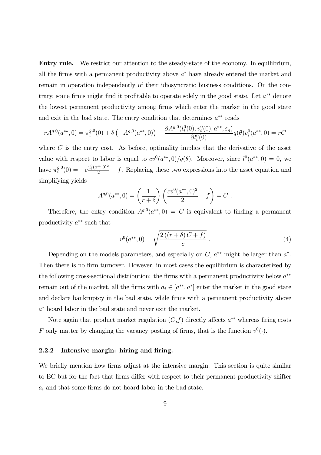Entry rule. We restrict our attention to the steady-state of the economy. In equilibrium, all the firms with a permanent productivity above  $a<sup>*</sup>$  have already entered the market and remain in operation independently of their idiosyncratic business conditions. On the contrary, some firms might find it profitable to operate solely in the good state. Let  $a^{**}$  denote the lowest permanent productivity among firms which enter the market in the good state and exit in the bad state. The entry condition that determines  $a^{**}$  reads

$$
rA^{g,0}(a^{**},0) = \pi_i^{g,0}(0) + \delta \left(-A^{g,0}(a^{**},0)\right) + \frac{\partial A^{g,0}(l_i^0(0), v_i^0(0); a^{**}, \varepsilon_g)}{\partial l_i^0(0)}q(\theta)v_i^0(a^{**},0) = rC
$$

where  $C$  is the entry cost. As before, optimality implies that the derivative of the asset value with respect to labor is equal to  $cv^0(a^{**},0)/q(\theta)$ . Moreover, since  $l^0(a^{**},0)=0$ , we have  $\pi_i^{g,0}(0) = -c \frac{v_i^0 (a^{**},0)^2}{2} - f$ . Replacing these two expressions into the asset equation and simplifying yields

$$
A^{g,0}(a^{**},0) = \left(\frac{1}{r+\delta}\right) \left(\frac{cv^0(a^{**},0)^2}{2} - f\right) = C.
$$

Therefore, the entry condition  $A^{g,0}(a^{**},0) = C$  is equivalent to finding a permanent productivity a∗∗ such that

$$
v^{0}(a^{**},0) = \sqrt{\frac{2((r+\delta)C+f)}{c}}.
$$
\n(4)

Depending on the models parameters, and especially on  $C, a^{**}$  might be larger than  $a^*$ . Then there is no firm turnover. However, in most cases the equilibrium is characterized by the following cross-sectional distribution: the firms with a permanent productivity below  $a^{**}$ remain out of the market, all the firms with  $a_i \in [a^{**}, a^*]$  enter the market in the good state and declare bankruptcy in the bad state, while firms with a permanent productivity above a<sup>∗</sup> hoard labor in the bad state and never exit the market.

Note again that product market regulation  $(C, f)$  directly affects  $a^{**}$  whereas firing costs F only matter by changing the vacancy posting of firms, that is the function  $v^0(\cdot)$ .

#### 2.2.2 Intensive margin: hiring and firing.

We briefly mention how firms adjust at the intensive margin. This section is quite similar to BC but for the fact that firms differ with respect to their permanent productivity shifter  $a_i$  and that some firms do not hoard labor in the bad state.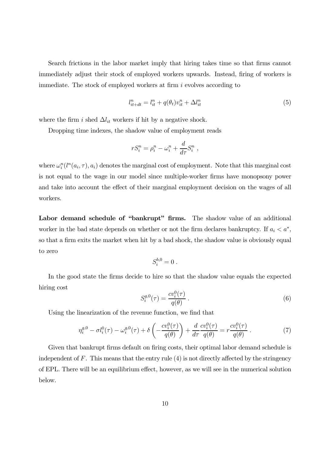Search frictions in the labor market imply that hiring takes time so that firms cannot immediately adjust their stock of employed workers upwards. Instead, firing of workers is immediate. The stock of employed workers at firm  $i$  evolves according to

$$
l_{it+dt}^n = l_{it}^n + q(\theta_t)v_{it}^n + \Delta l_{it}^n \tag{5}
$$

where the firm i shed  $\Delta l_{it}$  workers if hit by a negative shock.

Dropping time indexes, the shadow value of employment reads

$$
rS_i^n = \rho_i^n - \omega_i^n + \frac{d}{d\tau}S_i^n,
$$

where  $\omega_i^n(l^n(a_i, \tau), a_i)$  denotes the marginal cost of employment. Note that this marginal cost is not equal to the wage in our model since multiple-worker firms have monopsony power and take into account the effect of their marginal employment decision on the wages of all workers.

Labor demand schedule of "bankrupt" firms. The shadow value of an additional worker in the bad state depends on whether or not the firm declares bankruptcy. If  $a_i < a^*$ , so that a firm exits the market when hit by a bad shock, the shadow value is obviously equal to zero

$$
S_i^{b,0}=0.
$$

In the good state the firms decide to hire so that the shadow value equals the expected hiring cost

$$
S_i^{g,0}(\tau) = \frac{cv_i^0(\tau)}{q(\theta)}\,. \tag{6}
$$

Using the linearization of the revenue function, we find that

$$
\eta_i^{g,0} - \sigma l_i^0(\tau) - \omega_i^{g,0}(\tau) + \delta \left( -\frac{cv_i^0(\tau)}{q(\theta)} \right) + \frac{d}{d\tau} \frac{cv_i^0(\tau)}{q(\theta)} = r \frac{cv_i^0(\tau)}{q(\theta)} . \tag{7}
$$

Given that bankrupt firms default on firing costs, their optimal labor demand schedule is independent of  $F$ . This means that the entry rule  $(4)$  is not directly affected by the stringency of EPL. There will be an equilibrium effect, however, as we will see in the numerical solution below.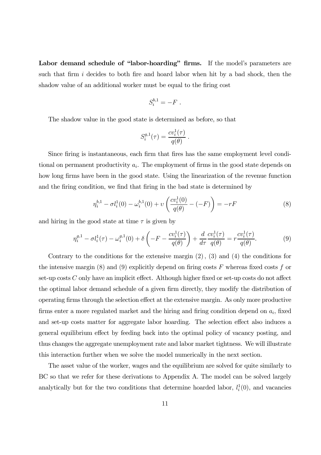Labor demand schedule of "labor-hoarding" firms. If the model's parameters are such that firm  $i$  decides to both fire and hoard labor when hit by a bad shock, then the shadow value of an additional worker must be equal to the firing cost

$$
S_i^{b,1} = -F.
$$

The shadow value in the good state is determined as before, so that

$$
S_i^{g,1}(\tau) = \frac{cv_i^1(\tau)}{q(\theta)}.
$$

Since firing is instantaneous, each firm that fires has the same employment level conditional on permanent productivity  $a_i$ . The employment of firms in the good state depends on how long firms have been in the good state. Using the linearization of the revenue function and the firing condition, we find that firing in the bad state is determined by

$$
\eta_i^{b,1} - \sigma l_i^1(0) - \omega_i^{b,1}(0) + \nu \left( \frac{cv_i^1(0)}{q(\theta)} - (-F) \right) = -rF \tag{8}
$$

and hiring in the good state at time  $\tau$  is given by

$$
\eta_i^{g,1} - \sigma l_i^1(\tau) - \omega_i^{g,1}(0) + \delta \left( -F - \frac{cv_i^1(\tau)}{q(\theta)} \right) + \frac{d}{d\tau} \frac{cv_i^1(\tau)}{q(\theta)} = r \frac{cv_i^1(\tau)}{q(\theta)}.
$$
 (9)

Contrary to the conditions for the extensive margin (2), (3) and (4) the conditions for the intensive margin  $(8)$  and  $(9)$  explicitly depend on firing costs F whereas fixed costs f or set-up costs  $C$  only have an implicit effect. Although higher fixed or set-up costs do not affect the optimal labor demand schedule of a given firm directly, they modify the distribution of operating firms through the selection effect at the extensive margin. As only more productive firms enter a more regulated market and the hiring and firing condition depend on  $a_i$ , fixed and set-up costs matter for aggregate labor hoarding. The selection effect also induces a general equilibrium effect by feeding back into the optimal policy of vacancy posting, and thus changes the aggregate unemployment rate and labor market tightness. We will illustrate this interaction further when we solve the model numerically in the next section.

The asset value of the worker, wages and the equilibrium are solved for quite similarly to BC so that we refer for these derivations to Appendix A. The model can be solved largely analytically but for the two conditions that determine hoarded labor,  $l_i^1(0)$ , and vacancies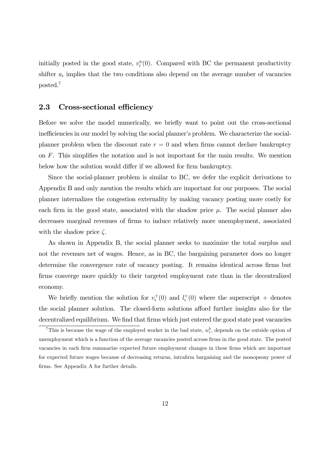initially posted in the good state,  $v_i^n(0)$ . Compared with BC the permanent productivity shifter  $a_i$  implies that the two conditions also depend on the average number of vacancies posted.7

### 2.3 Cross-sectional efficiency

Before we solve the model numerically, we briefly want to point out the cross-sectional inefficiencies in our model by solving the social planner's problem. We characterize the socialplanner problem when the discount rate  $r = 0$  and when firms cannot declare bankruptcy on F. This simplifies the notation and is not important for the main results. We mention below how the solution would differ if we allowed for firm bankruptcy.

Since the social-planner problem is similar to BC, we defer the explicit derivations to Appendix B and only mention the results which are important for our purposes. The social planner internalizes the congestion externality by making vacancy posting more costly for each firm in the good state, associated with the shadow price  $\mu$ . The social planner also decreases marginal revenues of firms to induce relatively more unemployment, associated with the shadow price  $\zeta$ .

As shown in Appendix B, the social planner seeks to maximize the total surplus and not the revenues net of wages. Hence, as in BC, the bargaining parameter does no longer determine the convergence rate of vacancy posting. It remains identical across firms but firms converge more quickly to their targeted employment rate than in the decentralized economy.

We briefly mention the solution for  $v_i^+(0)$  and  $l_i^+(0)$  where the superscript + denotes the social planner solution. The closed-form solutions afford further insights also for the decentralized equilibrium. We find that firms which just entered the good state post vacancies

<sup>&</sup>lt;sup>7</sup>This is because the wage of the employed worker in the bad state,  $w_i^b$ , depends on the outside option of unemployment which is a function of the average vacancies posted across firms in the good state. The posted vacancies in each firm summarize expected future employment changes in these firms which are important for expected future wages because of decreasing returns, intrafirm bargaining and the monopsony power of firms. See Appendix A for further details.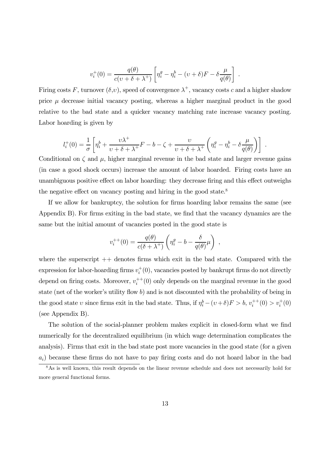$$
v_i^+(0) = \frac{q(\theta)}{c(\nu + \delta + \lambda^+)} \left[ \eta_i^g - \eta_i^b - (\nu + \delta)F - \delta \frac{\mu}{q(\theta)} \right] .
$$

Firing costs F, turnover  $(\delta, v)$ , speed of convergence  $\lambda^+$ , vacancy costs c and a higher shadow price  $\mu$  decrease initial vacancy posting, whereas a higher marginal product in the good relative to the bad state and a quicker vacancy matching rate increase vacancy posting. Labor hoarding is given by

$$
l_i^+(0) = \frac{1}{\sigma} \left[ \eta_i^b + \frac{\upsilon \lambda^+}{\upsilon + \delta + \lambda^+} F - b - \zeta + \frac{\upsilon}{\upsilon + \delta + \lambda^+} \left( \eta_i^g - \eta_i^b - \delta \frac{\mu}{q(\theta)} \right) \right] .
$$

Conditional on  $\zeta$  and  $\mu$ , higher marginal revenue in the bad state and larger revenue gains (in case a good shock occurs) increase the amount of labor hoarded. Firing costs have an unambiguous positive effect on labor hoarding: they decrease firing and this effect outweighs the negative effect on vacancy posting and hiring in the good state.<sup>8</sup>

If we allow for bankruptcy, the solution for firms hoarding labor remains the same (see Appendix B). For firms exiting in the bad state, we find that the vacancy dynamics are the same but the initial amount of vacancies posted in the good state is

$$
v_i^{++}(0) = \frac{q(\theta)}{c(\delta + \lambda^+)} \left( \eta_i^g - b - \frac{\delta}{q(\theta)} \mu \right) ,
$$

where the superscript  $++$  denotes firms which exit in the bad state. Compared with the expression for labor-hoarding firms  $v_i^+(0)$ , vacancies posted by bankrupt firms do not directly depend on firing costs. Moreover,  $v_i^{++}(0)$  only depends on the marginal revenue in the good state (net of the worker's utility flow b) and is not discounted with the probability of being in the good state v since firms exit in the bad state. Thus, if  $\eta_i^b - (v + \delta)F > b$ ,  $v_i^{++}(0) > v_i^{+}(0)$ (see Appendix B).

The solution of the social-planner problem makes explicit in closed-form what we find numerically for the decentralized equilibrium (in which wage determination complicates the analysis). Firms that exit in the bad state post more vacancies in the good state (for a given  $a_i$ ) because these firms do not have to pay firing costs and do not hoard labor in the bad

<sup>&</sup>lt;sup>8</sup>As is well known, this result depends on the linear revenue schedule and does not necessarily hold for more general functional forms.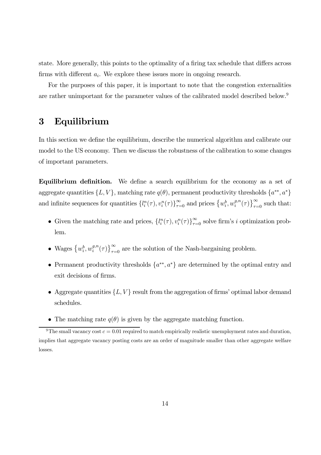state. More generally, this points to the optimality of a firing tax schedule that differs across firms with different  $a_i$ . We explore these issues more in ongoing research.

For the purposes of this paper, it is important to note that the congestion externalities are rather unimportant for the parameter values of the calibrated model described below.<sup>9</sup>

# 3 Equilibrium

In this section we define the equilibrium, describe the numerical algorithm and calibrate our model to the US economy. Then we discuss the robustness of the calibration to some changes of important parameters.

Equilibrium definition. We define a search equilibrium for the economy as a set of aggregate quantities  $\{L, V\}$ , matching rate  $q(\theta)$ , permanent productivity thresholds  $\{a^{**}, a^*\}$ and infinite sequences for quantities  $\{l_i^n(\tau), v_i^n(\tau)\}_{\tau=0}^{\infty}$  and prices  $\{w_i^b, w_i^{g,n}(\tau)\}_{\tau=0}^{\infty}$  such that:

- Given the matching rate and prices,  $\{l_i^n(\tau), v_i^n(\tau)\}_{\tau=0}^{\infty}$  solve firm's *i* optimization problem.
- Wages  $\{w_i^b, w_i^{g,n}(\tau)\}_{\tau=0}^{\infty}$  are the solution of the Nash-bargaining problem.
- Permanent productivity thresholds  $\{a^{**}, a^*\}$  are determined by the optimal entry and exit decisions of firms.
- Aggregate quantities  $\{L, V\}$  result from the aggregation of firms' optimal labor demand schedules.
- The matching rate  $q(\theta)$  is given by the aggregate matching function.

<sup>&</sup>lt;sup>9</sup>The small vacancy cost  $c = 0.01$  required to match empirically realistic unemployment rates and duration, implies that aggregate vacancy posting costs are an order of magnitude smaller than other aggregate welfare losses.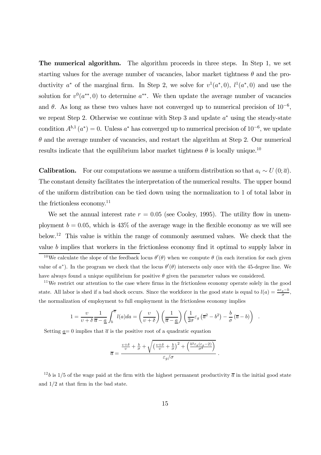The numerical algorithm. The algorithm proceeds in three steps. In Step 1, we set starting values for the average number of vacancies, labor market tightness  $\theta$  and the productivity  $a^*$  of the marginal firm. In Step 2, we solve for  $v^1(a^*,0)$ ,  $l^1(a^*,0)$  and use the solution for  $v^0(a^{**}, 0)$  to determine  $a^{**}$ . We then update the average number of vacancies and  $\theta$ . As long as these two values have not converged up to numerical precision of 10<sup>-6</sup>, we repeat Step 2. Otherwise we continue with Step 3 and update  $a^*$  using the steady-state condition  $A^{b,1}(a^*)=0$ . Unless  $a^*$  has converged up to numerical precision of  $10^{-6}$ , we update  $\theta$  and the average number of vacancies, and restart the algorithm at Step 2. Our numerical results indicate that the equilibrium labor market tightness  $\theta$  is locally unique.<sup>10</sup>

**Calibration.** For our computations we assume a uniform distribution so that  $a_i \sim U(0; \bar{a})$ . The constant density facilitates the interpretation of the numerical results. The upper bound of the uniform distribution can be tied down using the normalization to 1 of total labor in the frictionless economy.11

We set the annual interest rate  $r = 0.05$  (see Cooley, 1995). The utility flow in unemployment  $b = 0.05$ , which is 43% of the average wage in the flexible economy as we will see below.12 This value is within the range of commonly assumed values. We check that the value b implies that workers in the frictionless economy find it optimal to supply labor in

 $11$ We restrict our attention to the case where firms in the frictionless economy operate solely in the good state. All labor is shed if a bad shock occurs. Since the workforce in the good state is equal to  $l(a) = \frac{a \varepsilon_g - b}{\sigma}$ , the normalization of employment to full employment in the frictionless economy implies

$$
1 = \frac{\upsilon}{\upsilon + \delta} \frac{1}{\overline{a} - \underline{a}} \int_b^{\overline{a}} l(a) da = \left(\frac{\upsilon}{\upsilon + \delta}\right) \left(\frac{1}{\overline{a} - \underline{a}}\right) \left(\frac{1}{2\sigma} \varepsilon_g \left(\overline{a}^2 - b^2\right) - \frac{b}{\sigma} \left(\overline{a} - b\right)\right) .
$$

Setting  $\underline{a}=0$  implies that  $\overline{a}$  is the positive root of a quadratic equation

$$
\overline{a} = \frac{\frac{v+\delta}{v} + \frac{b}{\sigma} + \sqrt{\left(\frac{v+\delta}{v} + \frac{b}{\sigma}\right)^2 + \left(\frac{b^2 \varepsilon_g(\varepsilon_g - 2)}{\sigma^2}\right)}}{\varepsilon_g/\sigma}.
$$

<sup>12</sup>b is 1/5 of the wage paid at the firm with the highest permanent productivity  $\bar{a}$  in the initial good state and 1/2 at that firm in the bad state.

<sup>&</sup>lt;sup>10</sup>We calculate the slope of the feedback locus  $\theta'(\theta)$  when we compute  $\theta$  (in each iteration for each given value of  $a^*$ ). In the program we check that the locus  $\theta'(\theta)$  intersects only once with the 45-degree line. We have always found a unique equilibrium for positive  $\theta$  given the parameter values we considered.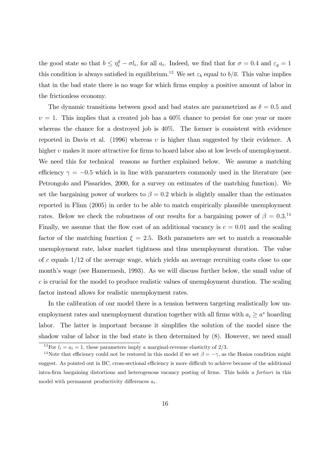the good state so that  $b \leq \eta_i^g - \sigma l_i$ , for all  $a_i$ . Indeed, we find that for  $\sigma = 0.4$  and  $\varepsilon_g = 1$ this condition is always satisfied in equilibrium.<sup>13</sup> We set  $\varepsilon_b$  equal to  $b/\overline{a}$ . This value implies that in the bad state there is no wage for which firms employ a positive amount of labor in the frictionless economy.

The dynamic transitions between good and bad states are parametrized as  $\delta = 0.5$  and  $v = 1$ . This implies that a created job has a 60% chance to persist for one year or more whereas the chance for a destroyed job is 40%. The former is consistent with evidence reported in Davis et al. (1996) whereas  $v$  is higher than suggested by their evidence. A higher v makes it more attractive for firms to hoard labor also at low levels of unemployment. We need this for technical reasons as further explained below. We assume a matching efficiency  $\gamma = -0.5$  which is in line with parameters commonly used in the literature (see Petrongolo and Pissarides, 2000, for a survey on estimates of the matching function). We set the bargaining power of workers to  $\beta = 0.2$  which is slightly smaller than the estimates reported in Flinn (2005) in order to be able to match empirically plausible unemployment rates. Below we check the robustness of our results for a bargaining power of  $\beta = 0.3$ .<sup>14</sup> Finally, we assume that the flow cost of an additional vacancy is  $c = 0.01$  and the scaling factor of the matching function  $\xi = 2.5$ . Both parameters are set to match a reasonable unemployment rate, labor market tightness and thus unemployment duration. The value of c equals 1/12 of the average wage, which yields an average recruiting costs close to one month's wage (see Hamermesh, 1993). As we will discuss further below, the small value of c is crucial for the model to produce realistic values of unemployment duration. The scaling factor instead allows for realistic unemployment rates.

In the calibration of our model there is a tension between targeting realistically low unemployment rates and unemployment duration together with all firms with  $a_i \geq a^*$  hoarding labor. The latter is important because it simplifies the solution of the model since the shadow value of labor in the bad state is then determined by (8). However, we need small

<sup>&</sup>lt;sup>13</sup>For  $l_i = a_i = 1$ , these parameters imply a marginal-revenue elasticity of 2/3.

<sup>&</sup>lt;sup>14</sup>Note that efficiency could not be restored in this model if we set  $\beta = -\gamma$ , as the Hosios condition might suggest. As pointed out in BC, cross-sectional efficiency is more difficult to achieve because of the additional intra-firm bargaining distortions and heterogenous vacancy posting of firms. This holds a fortiori in this model with permanent productivity differences  $a_i$ .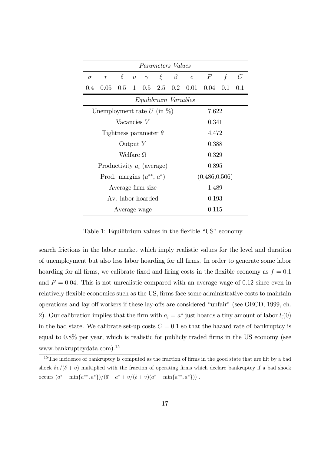| <i>Parameters Values</i>      |          |            |  |                                                 |                              |                                                                  |                                |             |                                                                                                          |
|-------------------------------|----------|------------|--|-------------------------------------------------|------------------------------|------------------------------------------------------------------|--------------------------------|-------------|----------------------------------------------------------------------------------------------------------|
| $\mathcal{r}$                 | $\delta$ | $\upsilon$ |  |                                                 |                              | $\mathfrak{c}$                                                   | $\,F$                          | $\mathbf f$ | $\mathcal C$                                                                                             |
|                               |          |            |  |                                                 |                              |                                                                  |                                |             | 0.1                                                                                                      |
| Equilibrium Variables         |          |            |  |                                                 |                              |                                                                  |                                |             |                                                                                                          |
|                               |          |            |  |                                                 |                              |                                                                  |                                |             |                                                                                                          |
|                               |          |            |  |                                                 |                              | 0.341                                                            |                                |             |                                                                                                          |
|                               |          |            |  |                                                 |                              | 4.472                                                            |                                |             |                                                                                                          |
|                               |          |            |  |                                                 |                              | 0.388                                                            |                                |             |                                                                                                          |
|                               |          |            |  |                                                 |                              |                                                                  |                                |             |                                                                                                          |
|                               |          |            |  |                                                 |                              | 0.895                                                            |                                |             |                                                                                                          |
| Prod. margins $(a^{**}, a^*)$ |          |            |  |                                                 | (0.486, 0.506)               |                                                                  |                                |             |                                                                                                          |
| Average firm size             |          |            |  |                                                 | 1.489                        |                                                                  |                                |             |                                                                                                          |
| Av. labor hoarded             |          |            |  |                                                 | 0.193                        |                                                                  |                                |             |                                                                                                          |
| Average wage                  |          |            |  |                                                 | 0.115                        |                                                                  |                                |             |                                                                                                          |
|                               |          |            |  | Vacancies $V$<br>Output $Y$<br>Welfare $\Omega$ | Tightness parameter $\theta$ | Unemployment rate $U$ (in $\%$ )<br>Productivity $a_i$ (average) | $\gamma \quad \xi \quad \beta$ |             | $0.05 \quad 0.5 \quad 1 \quad 0.5 \quad 2.5 \quad 0.2 \quad 0.01 \quad 0.04 \quad 0.1$<br>7.622<br>0.329 |

Table 1: Equilibrium values in the flexible "US" economy.

search frictions in the labor market which imply realistic values for the level and duration of unemployment but also less labor hoarding for all firms. In order to generate some labor hoarding for all firms, we calibrate fixed and firing costs in the flexible economy as  $f = 0.1$ and  $F = 0.04$ . This is not unrealistic compared with an average wage of 0.12 since even in relatively flexible economies such as the US, firms face some administrative costs to maintain operations and lay off workers if these lay-offs are considered "unfair" (see OECD, 1999, ch. 2). Our calibration implies that the firm with  $a_i = a^*$  just hoards a tiny amount of labor  $l_i(0)$ in the bad state. We calibrate set-up costs  $C = 0.1$  so that the hazard rate of bankruptcy is equal to 0.8% per year, which is realistic for publicly traded firms in the US economy (see www.bankruptcydata.com).15

<sup>&</sup>lt;sup>15</sup>The incidence of bankruptcy is computed as the fraction of firms in the good state that are hit by a bad shock  $\delta v/(\delta + v)$  multiplied with the fraction of operating firms which declare bankruptcy if a bad shock occurs  $(a^* - \min\{a^{**}, a^*\})/(\overline{a} - a^* + \nu/(\delta + \nu)(a^* - \min\{a^{**}, a^*\})$ .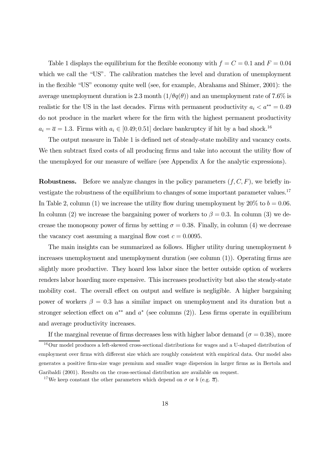Table 1 displays the equilibrium for the flexible economy with  $f = C = 0.1$  and  $F = 0.04$ which we call the "US". The calibration matches the level and duration of unemployment in the flexible "US" economy quite well (see, for example, Abrahams and Shimer, 2001): the average unemployment duration is 2.3 month  $(1/\theta q(\theta))$  and an unemployment rate of 7.6% is realistic for the US in the last decades. Firms with permanent productivity  $a_i < a^{**} = 0.49$ do not produce in the market where for the firm with the highest permanent productivity  $a_i = \overline{a} = 1.3$ . Firms with  $a_i \in [0.49; 0.51]$  declare bankruptcy if hit by a bad shock.<sup>16</sup>

The output measure in Table 1 is defined net of steady-state mobility and vacancy costs. We then subtract fixed costs of all producing firms and take into account the utility flow of the unemployed for our measure of welfare (see Appendix A for the analytic expressions).

**Robustness.** Before we analyze changes in the policy parameters  $(f, C, F)$ , we briefly investigate the robustness of the equilibrium to changes of some important parameter values.<sup>17</sup> In Table 2, column (1) we increase the utility flow during unemployment by  $20\%$  to  $b = 0.06$ . In column (2) we increase the bargaining power of workers to  $\beta = 0.3$ . In column (3) we decrease the monopsony power of firms by setting  $\sigma = 0.38$ . Finally, in column (4) we decrease the vacancy cost assuming a marginal flow cost  $c = 0.0095$ .

The main insights can be summarized as follows. Higher utility during unemployment b increases unemployment and unemployment duration (see column (1)). Operating firms are slightly more productive. They hoard less labor since the better outside option of workers renders labor hoarding more expensive. This increases productivity but also the steady-state mobility cost. The overall effect on output and welfare is negligible. A higher bargaining power of workers  $\beta = 0.3$  has a similar impact on unemployment and its duration but a stronger selection effect on  $a^{**}$  and  $a^*$  (see columns (2)). Less firms operate in equilibrium and average productivity increases.

If the marginal revenue of firms decreases less with higher labor demand ( $\sigma = 0.38$ ), more

<sup>&</sup>lt;sup>16</sup>Our model produces a left-skewed cross-sectional distributions for wages and a U-shaped distribution of employment over firms with different size which are roughly consistent with empirical data. Our model also generates a positive firm-size wage premium and smaller wage dispersion in larger firms as in Bertola and Garibaldi (2001). Results on the cross-sectional distribution are available on request.

<sup>&</sup>lt;sup>17</sup>We keep constant the other parameters which depend on  $\sigma$  or b (e.g.  $\bar{a}$ ).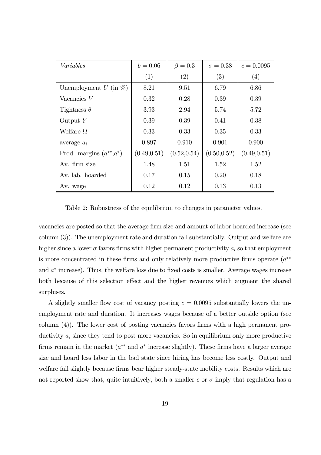| Variables                    | $b = 0.06$   | $\beta = 0.3$ | $\sigma = 0.38$ | $c = 0.0095$ |
|------------------------------|--------------|---------------|-----------------|--------------|
|                              | (1)          | (2)           | (3)             | (4)          |
| Unemployment $U$ (in $\%$ )  | 8.21         | 9.51          | 6.79            | 6.86         |
| Vacancies $V$                | 0.32         | 0.28          | 0.39            | 0.39         |
| Tightness $\theta$           | 3.93         | 2.94          | 5.74            | 5.72         |
| Output $Y$                   | 0.39         | 0.39          | 0.41            | 0.38         |
| Welfare $\Omega$             | 0.33         | 0.33          | 0.35            | 0.33         |
| average $a_i$                | 0.897        | 0.910         | 0.901           | 0.900        |
| Prod. margins $(a^{**},a^*)$ | (0.49, 0.51) | (0.52, 0.54)  | (0.50, 0.52)    | (0.49, 0.51) |
| Av. firm size                | 1.48         | 1.51          | 1.52            | 1.52         |
| Av. lab. hoarded             | 0.17         | 0.15          | 0.20            | 0.18         |
| Av. wage                     | 0.12         | 0.12          | 0.13            | 0.13         |

Table 2: Robustness of the equilibrium to changes in parameter values.

vacancies are posted so that the average firm size and amount of labor hoarded increase (see column (3)). The unemployment rate and duration fall substantially. Output and welfare are higher since a lower  $\sigma$  favors firms with higher permanent productivity  $a_i$  so that employment is more concentrated in these firms and only relatively more productive firms operate  $(a^{**})$ and  $a^*$  increase). Thus, the welfare loss due to fixed costs is smaller. Average wages increase both because of this selection effect and the higher revenues which augment the shared surpluses.

A slightly smaller flow cost of vacancy posting  $c = 0.0095$  substantially lowers the unemployment rate and duration. It increases wages because of a better outside option (see column (4)). The lower cost of posting vacancies favors firms with a high permanent productivity  $a_i$  since they tend to post more vacancies. So in equilibrium only more productive firms remain in the market  $(a^{**}$  and  $a^*$  increase slightly). These firms have a larger average size and hoard less labor in the bad state since hiring has become less costly. Output and welfare fall slightly because firms bear higher steady-state mobility costs. Results which are not reported show that, quite intuitively, both a smaller c or  $\sigma$  imply that regulation has a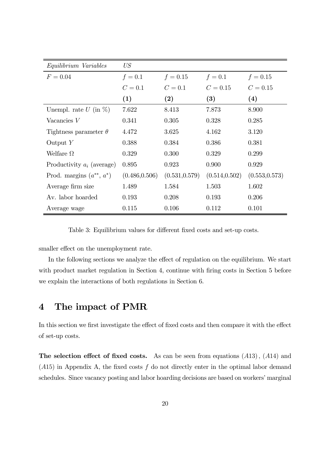| Equilibrium Variables         | US             |                |                |                   |
|-------------------------------|----------------|----------------|----------------|-------------------|
| $F = 0.04$                    | $f = 0.1$      | $f = 0.15$     | $f = 0.1$      | $f = 0.15$        |
|                               | $C=0.1$        | $C=0.1$        | $C = 0.15$     | $C = 0.15$        |
|                               | (1)            | (2)            | (3)            | $\left( 4\right)$ |
| Unempl. rate $U$ (in $\%$ )   | 7.622          | 8.413          | 7.873          | 8.900             |
| Vacancies V                   | 0.341          | 0.305          | 0.328          | 0.285             |
| Tightness parameter $\theta$  | 4.472          | 3.625          | 4.162          | 3.120             |
| Output $Y$                    | 0.388          | 0.384          | 0.386          | 0.381             |
| Welfare $\Omega$              | 0.329          | 0.300          | 0.329          | 0.299             |
| Productivity $a_i$ (average)  | 0.895          | 0.923          | 0.900          | 0.929             |
| Prod. margins $(a^{**}, a^*)$ | (0.486, 0.506) | (0.531, 0.579) | (0.514, 0.502) | (0.553, 0.573)    |
| Average firm size             | 1.489          | 1.584          | 1.503          | 1.602             |
| Av. labor hoarded             | 0.193          | 0.208          | 0.193          | 0.206             |
| Average wage                  | 0.115          | 0.106          | 0.112          | 0.101             |

Table 3: Equilibrium values for different fixed costs and set-up costs.

smaller effect on the unemployment rate.

In the following sections we analyze the effect of regulation on the equilibrium. We start with product market regulation in Section 4, continue with firing costs in Section 5 before we explain the interactions of both regulations in Section 6.

# 4 The impact of PMR

In this section we first investigate the effect of fixed costs and then compare it with the effect of set-up costs.

The selection effect of fixed costs. As can be seen from equations  $(A13)$ ,  $(A14)$  and  $(A15)$  in Appendix A, the fixed costs f do not directly enter in the optimal labor demand schedules. Since vacancy posting and labor hoarding decisions are based on workers' marginal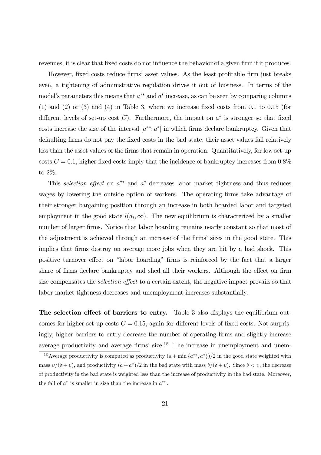revenues, it is clear that fixed costs do not influence the behavior of a given firm if it produces.

However, fixed costs reduce firms' asset values. As the least profitable firm just breaks even, a tightening of administrative regulation drives it out of business. In terms of the model's parameters this means that  $a^{**}$  and  $a^*$  increase, as can be seen by comparing columns  $(1)$  and  $(2)$  or  $(3)$  and  $(4)$  in Table 3, where we increase fixed costs from 0.1 to 0.15 (for different levels of set-up cost C). Furthermore, the impact on  $a^*$  is stronger so that fixed costs increase the size of the interval  $[a^{**}; a^*]$  in which firms declare bankruptcy. Given that defaulting firms do not pay the fixed costs in the bad state, their asset values fall relatively less than the asset values of the firms that remain in operation. Quantitatively, for low set-up costs  $C = 0.1$ , higher fixed costs imply that the incidence of bankruptcy increases from 0.8% to 2%.

This selection effect on  $a^{**}$  and  $a^*$  decreases labor market tightness and thus reduces wages by lowering the outside option of workers. The operating firms take advantage of their stronger bargaining position through an increase in both hoarded labor and targeted employment in the good state  $l(a_i,\infty)$ . The new equilibrium is characterized by a smaller number of larger firms. Notice that labor hoarding remains nearly constant so that most of the adjustment is achieved through an increase of the firms' sizes in the good state. This implies that firms destroy on average more jobs when they are hit by a bad shock. This positive turnover effect on "labor hoarding" firms is reinforced by the fact that a larger share of firms declare bankruptcy and shed all their workers. Although the effect on firm size compensates the selection effect to a certain extent, the negative impact prevails so that labor market tightness decreases and unemployment increases substantially.

The selection effect of barriers to entry. Table 3 also displays the equilibrium outcomes for higher set-up costs  $C = 0.15$ , again for different levels of fixed costs. Not surprisingly, higher barriers to entry decrease the number of operating firms and slightly increase average productivity and average firms' size.<sup>18</sup> The increase in unemployment and unem-

<sup>&</sup>lt;sup>18</sup>Average productivity is computed as productivity  $(a + \min\{a^{**}, a^*\})/2$  in the good state weighted with mass  $v/(\delta + v)$ , and productivity  $(a + a^*)/2$  in the bad state with mass  $\delta/(\delta + v)$ . Since  $\delta < v$ , the decrease of productivity in the bad state is weighted less than the increase of productivity in the bad state. Moreover, the fall of  $a^*$  is smaller in size than the increase in  $a^{**}$ .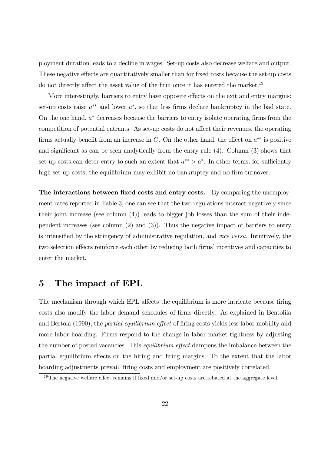ployment duration leads to a decline in wages. Set-up costs also decrease welfare and output. These negative effects are quantitatively smaller than for fixed costs because the set-up costs do not directly affect the asset value of the firm once it has entered the market.<sup>19</sup>

More interestingly, barriers to entry have opposite effects on the exit and entry margins: set-up costs raise  $a^{**}$  and lower  $a^*$ , so that less firms declare bankruptcy in the bad state. On the one hand,  $a^*$  decreases because the barriers to entry isolate operating firms from the competition of potential entrants. As set-up costs do not affect their revenues, the operating firms actually benefit from an increase in C. On the other hand, the effect on  $a^{**}$  is positive and significant as can be seen analytically from the entry rule (4). Column (3) shows that set-up costs can deter entry to such an extent that  $a^{**} > a^*$ . In other terms, for sufficiently high set-up costs, the equilibrium may exhibit no bankruptcy and no firm turnover.

The interactions between fixed costs and entry costs. By comparing the unemployment rates reported in Table 3, one can see that the two regulations interact negatively since their joint increase (see column (4)) leads to bigger job losses than the sum of their independent increases (see column  $(2)$  and  $(3)$ ). Thus the negative impact of barriers to entry is intensified by the stringency of administrative regulation, and vice versa. Intuitively, the two selection effects reinforce each other by reducing both firms' incentives and capacities to enter the market.

# 5 The impact of EPL

The mechanism through which EPL affects the equilibrium is more intricate because firing costs also modify the labor demand schedules of firms directly. As explained in Bentolila and Bertola (1990), the partial equilibrium effect of firing costs yields less labor mobility and more labor hoarding. Firms respond to the change in labor market tightness by adjusting the number of posted vacancies. This equilibrium effect dampens the imbalance between the partial equilibrium effects on the hiring and firing margins. To the extent that the labor hoarding adjustments prevail, firing costs and employment are positively correlated.

 $19$ The negative welfare effect remains if fixed and/or set-up costs are rebated at the aggregate level.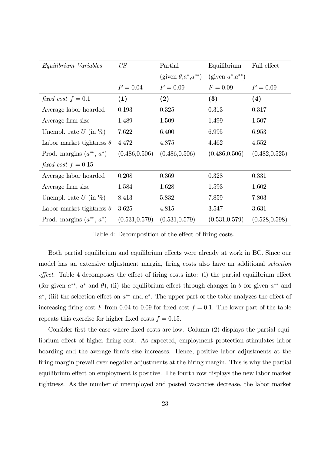| Equilibrium Variables           | US             | Partial                        | Equilibrium           | Full effect    |
|---------------------------------|----------------|--------------------------------|-----------------------|----------------|
|                                 |                | (given $\theta, a^*, a^{**}$ ) | (given $a^* a^{**}$ ) |                |
|                                 | $F = 0.04$     | $F = 0.09$                     | $F = 0.09$            | $F = 0.09$     |
| fixed cost $f = 0.1$            | (1)            | (2)                            | (3)                   | (4)            |
| Average labor hoarded           | 0.193          | 0.325                          | 0.313                 | 0.317          |
| Average firm size               | 1.489          | 1.509                          | 1.499                 | 1.507          |
| Unempl. rate $U$ (in $\%$ )     | 7.622          | 6.400                          | 6.995                 | 6.953          |
| Labor market tightness $\theta$ | 4.472          | 4.875                          | 4.462                 | 4.552          |
| Prod. margins $(a^{**}, a^*)$   | (0.486, 0.506) | (0.486, 0.506)                 | (0.486, 0.506)        | (0.482, 0.525) |
| fixed cost $f = 0.15$           |                |                                |                       |                |
| Average labor hoarded           | 0.208          | 0.369                          | 0.328                 | 0.331          |
| Average firm size               | 1.584          | 1.628                          | 1.593                 | 1.602          |
| Unempl. rate $U$ (in $\%$ )     | 8.413          | 5.832                          | 7.859                 | 7.803          |
| Labor market tightness $\theta$ | 3.625          | 4.815                          | 3.547                 | 3.631          |
| Prod. margins $(a^{**}, a^*)$   | (0.531, 0.579) | (0.531, 0.579)                 | (0.531, 0.579)        | (0.528, 0.598) |

Table 4: Decomposition of the effect of firing costs.

Both partial equilibrium and equilibrium effects were already at work in BC. Since our model has an extensive adjustment margin, firing costs also have an additional *selection* effect. Table 4 decomposes the effect of firing costs into: (i) the partial equilibrium effect (for given  $a^{**}$ ,  $a^*$  and  $\theta$ ), (ii) the equilibrium effect through changes in  $\theta$  for given  $a^{**}$  and  $a^*$ , (iii) the selection effect on  $a^{**}$  and  $a^*$ . The upper part of the table analyzes the effect of increasing firing cost F from 0.04 to 0.09 for fixed cost  $f = 0.1$ . The lower part of the table repeats this exercise for higher fixed costs  $f = 0.15$ .

Consider first the case where fixed costs are low. Column (2) displays the partial equilibrium effect of higher firing cost. As expected, employment protection stimulates labor hoarding and the average firm's size increases. Hence, positive labor adjustments at the firing margin prevail over negative adjustments at the hiring margin. This is why the partial equilibrium effect on employment is positive. The fourth row displays the new labor market tightness. As the number of unemployed and posted vacancies decrease, the labor market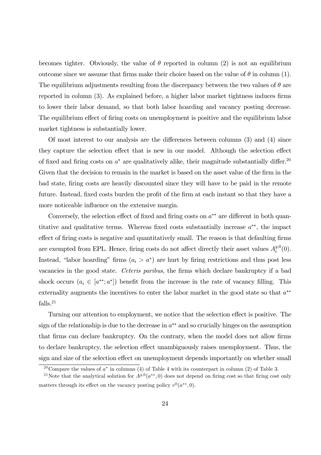becomes tighter. Obviously, the value of  $\theta$  reported in column (2) is not an equilibrium outcome since we assume that firms make their choice based on the value of  $\theta$  in column (1). The equilibrium adjustments resulting from the discrepancy between the two values of  $\theta$  are reported in column (3). As explained before, a higher labor market tightness induces firms to lower their labor demand, so that both labor hoarding and vacancy posting decrease. The equilibrium effect of firing costs on unemployment is positive and the equilibrium labor market tightness is substantially lower.

Of most interest to our analysis are the differences between columns (3) and (4) since they capture the selection effect that is new in our model. Although the selection effect of fixed and firing costs on  $a^*$  are qualitatively alike, their magnitude substantially differ.<sup>20</sup> Given that the decision to remain in the market is based on the asset value of the firm in the bad state, firing costs are heavily discounted since they will have to be paid in the remote future. Instead, fixed costs burden the profit of the firm at each instant so that they have a more noticeable influence on the extensive margin.

Conversely, the selection effect of fixed and firing costs on  $a^{**}$  are different in both quantitative and qualitative terms. Whereas fixed costs substantially increase  $a^{**}$ , the impact effect of firing costs is negative and quantitatively small. The reason is that defaulting firms are exempted from EPL. Hence, firing costs do not affect directly their asset values  $A_i^{g,0}(0)$ . Instead, "labor hoarding" firms  $(a_i > a^*)$  are hurt by firing restrictions and thus post less vacancies in the good state. Ceteris paribus, the firms which declare bankruptcy if a bad shock occurs  $(a_i \in [a^{**}; a^*])$  benefit from the increase in the rate of vacancy filling. This externality augments the incentives to enter the labor market in the good state so that  $a^{**}$ falls.21

Turning our attention to employment, we notice that the selection effect is positive. The sign of the relationship is due to the decrease in  $a^{**}$  and so crucially hinges on the assumption that firms can declare bankruptcy. On the contrary, when the model does not allow firms to declare bankruptcy, the selection effect unambiguously raises unemployment. Thus, the sign and size of the selection effect on unemployment depends importantly on whether small

<sup>&</sup>lt;sup>20</sup>Compare the values of  $a^*$  in columns (4) of Table 4 with its counterpart in column (2) of Table 3.

<sup>&</sup>lt;sup>21</sup>Note that the analytical solution for  $A^{g,0}(a^{**},0)$  does not depend on firing cost so that firing cost only matters through its effect on the vacancy posting policy  $v^0(a^{**}, 0)$ .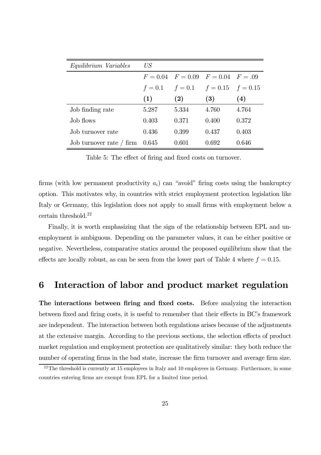| Equilibrium Variables      | US      |                                            |       |       |
|----------------------------|---------|--------------------------------------------|-------|-------|
|                            |         | $F = 0.04$ $F = 0.09$ $F = 0.04$ $F = .09$ |       |       |
|                            | $f=0.1$ | $f = 0.1$ $f = 0.15$ $f = 0.15$            |       |       |
|                            | (1)     | (2)                                        | (3)   | (4)   |
| Job finding rate           | 5.287   | 5.334                                      | 4.760 | 4.764 |
| Job flows                  | 0.403   | 0.371                                      | 0.400 | 0.372 |
| Job turnover rate          | 0.436   | 0.399                                      | 0.437 | 0.403 |
| Job turnover rate $/$ firm | 0.645   | 0.601                                      | 0.692 | 0.646 |

Table 5: The effect of firing and fixed costs on turnover.

firms (with low permanent productivity  $a_i$ ) can "avoid" firing costs using the bankruptcy option. This motivates why, in countries with strict employment protection legislation like Italy or Germany, this legislation does not apply to small firms with employment below a certain threshold.22

Finally, it is worth emphasizing that the sign of the relationship between EPL and unemployment is ambiguous. Depending on the parameter values, it can be either positive or negative. Nevertheless, comparative statics around the proposed equilibrium show that the effects are locally robust, as can be seen from the lower part of Table 4 where  $f = 0.15$ .

# 6 Interaction of labor and product market regulation

The interactions between firing and fixed costs. Before analyzing the interaction between fixed and firing costs, it is useful to remember that their effects in BC's framework are independent. The interaction between both regulations arises because of the adjustments at the extensive margin. According to the previous sections, the selection effects of product market regulation and employment protection are qualitatively similar: they both reduce the number of operating firms in the bad state, increase the firm turnover and average firm size.

 $^{22}$ The threshold is currently at 15 employees in Italy and 10 employees in Germany. Furthermore, in some countries entering firms are exempt from EPL for a limited time period.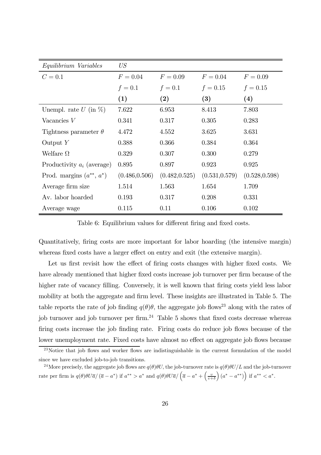| Equilibrium Variables         | US             |                |                |                |
|-------------------------------|----------------|----------------|----------------|----------------|
| $C=0.1$                       | $F = 0.04$     | $F = 0.09$     | $F = 0.04$     | $F = 0.09$     |
|                               | $f = 0.1$      | $f = 0.1$      | $f = 0.15$     | $f = 0.15$     |
|                               | (1)            | (2)            | (3)            | (4)            |
| Unempl. rate $U$ (in $\%$ )   | 7.622          | 6.953          | 8.413          | 7.803          |
| Vacancies V                   | 0.341          | 0.317          | 0.305          | 0.283          |
| Tightness parameter $\theta$  | 4.472          | 4.552          | 3.625          | 3.631          |
| Output $Y$                    | 0.388          | 0.366          | 0.384          | 0.364          |
| Welfare $\Omega$              | 0.329          | 0.307          | 0.300          | 0.279          |
| Productivity $a_i$ (average)  | 0.895          | 0.897          | 0.923          | 0.925          |
| Prod. margins $(a^{**}, a^*)$ | (0.486, 0.506) | (0.482, 0.525) | (0.531, 0.579) | (0.528, 0.598) |
| Average firm size             | 1.514          | 1.563          | 1.654          | 1.709          |
| Av. labor hoarded             | 0.193          | 0.317          | 0.208          | 0.331          |
| Average wage                  | 0.115          | 0.11           | 0.106          | 0.102          |

Table 6: Equilibrium values for different firing and fixed costs.

Quantitatively, firing costs are more important for labor hoarding (the intensive margin) whereas fixed costs have a larger effect on entry and exit (the extensive margin).

Let us first revisit how the effect of firing costs changes with higher fixed costs. We have already mentioned that higher fixed costs increase job turnover per firm because of the higher rate of vacancy filling. Conversely, it is well known that firing costs yield less labor mobility at both the aggregate and firm level. These insights are illustrated in Table 5. The table reports the rate of job finding  $q(\theta)\theta$ , the aggregate job flows<sup>23</sup> along with the rates of job turnover and job turnover per firm.<sup>24</sup> Table 5 shows that fixed costs decrease whereas firing costs increase the job finding rate. Firing costs do reduce job flows because of the lower unemployment rate. Fixed costs have almost no effect on aggregate job flows because

 $23$ Notice that job flows and worker flows are indistinguishable in the current formulation of the model since we have excluded job-to-job transitions.

<sup>&</sup>lt;sup>24</sup>More precisely, the aggregate job flows are  $q(\theta)\theta U$ , the job-turnover rate is  $q(\theta)\theta U/L$  and the job-turnover rate per firm is  $q(\theta)\theta U\overline{a}/(\overline{a}-a^*)$  if  $a^{**}>a^*$  and  $q(\theta)\theta U\overline{a}/(\overline{a}-a^*+\left(\frac{v}{v+\delta}\right)$  $(a^* - a^{**})$  if  $a^{**} < a^*$ .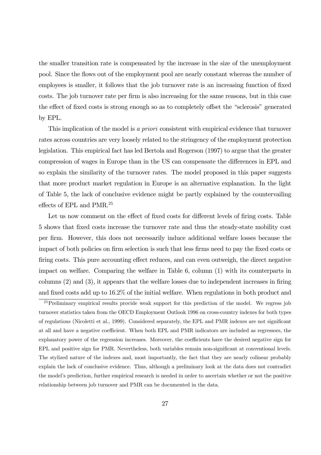the smaller transition rate is compensated by the increase in the size of the unemployment pool. Since the flows out of the employment pool are nearly constant whereas the number of employees is smaller, it follows that the job turnover rate is an increasing function of fixed costs. The job turnover rate per firm is also increasing for the same reasons, but in this case the effect of fixed costs is strong enough so as to completely offset the "sclerosis" generated by EPL.

This implication of the model is a priori consistent with empirical evidence that turnover rates across countries are very loosely related to the stringency of the employment protection legislation. This empirical fact has led Bertola and Rogerson (1997) to argue that the greater compression of wages in Europe than in the US can compensate the differences in EPL and so explain the similarity of the turnover rates. The model proposed in this paper suggests that more product market regulation in Europe is an alternative explanation. In the light of Table 5, the lack of conclusive evidence might be partly explained by the countervailing effects of EPL and PMR.25

Let us now comment on the effect of fixed costs for different levels of firing costs. Table 5 shows that fixed costs increase the turnover rate and thus the steady-state mobility cost per firm. However, this does not necessarily induce additional welfare losses because the impact of both policies on firm selection is such that less firms need to pay the fixed costs or firing costs. This pure accounting effect reduces, and can even outweigh, the direct negative impact on welfare. Comparing the welfare in Table 6, column (1) with its counterparts in columns (2) and (3), it appears that the welfare losses due to independent increases in firing and fixed costs add up to 16.2% of the initial welfare. When regulations in both product and

 $25$ Preliminary empirical results provide weak support for this prediction of the model. We regress job turnover statistics taken from the OECD Employment Outlook 1996 on cross-country indexes for both types of regulations (Nicoletti et al., 1999). Considered separately, the EPL and PMR indexes are not significant at all and have a negative coefficient. When both EPL and PMR indicators are included as regressors, the explanatory power of the regression increases. Moreover, the coefficients have the desired negative sign for EPL and positive sign for PMR. Nevertheless, both variables remain non-significant at conventional levels. The stylized nature of the indexes and, most importantly, the fact that they are nearly colinear probably explain the lack of conclusive evidence. Thus, although a preliminary look at the data does not contradict the model's prediction, further empirical research is needed in order to ascertain whether or not the positive relationship between job turnover and PMR can be documented in the data.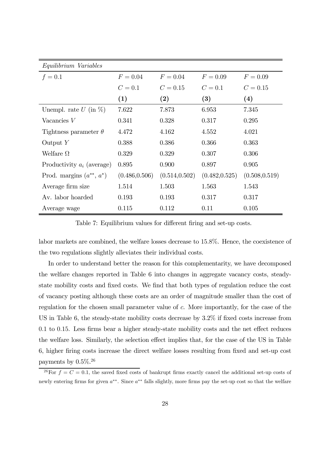| Equilibrium Variables         |                |                |                |                |  |  |
|-------------------------------|----------------|----------------|----------------|----------------|--|--|
| $f=0.1$                       | $F = 0.04$     | $F = 0.04$     | $F = 0.09$     | $F = 0.09$     |  |  |
|                               | $C=0.1$        | $C = 0.15$     | $C=0.1$        | $C = 0.15$     |  |  |
|                               | (1)            | (2)            | (3)            | (4)            |  |  |
| Unempl. rate $U$ (in $\%$ )   | 7.622          | 7.873          | 6.953          | 7.345          |  |  |
| Vacancies V                   | 0.341          | 0.328          | 0.317          | 0.295          |  |  |
| Tightness parameter $\theta$  | 4.472          | 4.162          | 4.552          | 4.021          |  |  |
| Output $Y$                    | 0.388          | 0.386          | 0.366          | 0.363          |  |  |
| Welfare $\Omega$              | 0.329          | 0.329          | 0.307          | 0.306          |  |  |
| Productivity $a_i$ (average)  | 0.895          | 0.900          | 0.897          | 0.905          |  |  |
| Prod. margins $(a^{**}, a^*)$ | (0.486, 0.506) | (0.514, 0.502) | (0.482, 0.525) | (0.508, 0.519) |  |  |
| Average firm size             | 1.514          | 1.503          | 1.563          | 1.543          |  |  |
| Av. labor hoarded             | 0.193          | 0.193          | 0.317          | 0.317          |  |  |
| Average wage                  | 0.115          | 0.112          | 0.11           | 0.105          |  |  |

Table 7: Equilibrium values for different firing and set-up costs.

labor markets are combined, the welfare losses decrease to 15.8%. Hence, the coexistence of the two regulations slightly alleviates their individual costs.

In order to understand better the reason for this complementarity, we have decomposed the welfare changes reported in Table 6 into changes in aggregate vacancy costs, steadystate mobility costs and fixed costs. We find that both types of regulation reduce the cost of vacancy posting although these costs are an order of magnitude smaller than the cost of regulation for the chosen small parameter value of c. More importantly, for the case of the US in Table 6, the steady-state mobility costs decrease by 3.2% if fixed costs increase from 0.1 to 0.15. Less firms bear a higher steady-state mobility costs and the net effect reduces the welfare loss. Similarly, the selection effect implies that, for the case of the US in Table 6, higher firing costs increase the direct welfare losses resulting from fixed and set-up cost payments by  $0.5\%.^{26}$ 

<sup>&</sup>lt;sup>26</sup>For  $f = C = 0.1$ , the saved fixed costs of bankrupt firms exactly cancel the additional set-up costs of newly entering firms for given  $a^{**}$ . Since  $a^{**}$  falls slightly, more firms pay the set-up cost so that the welfare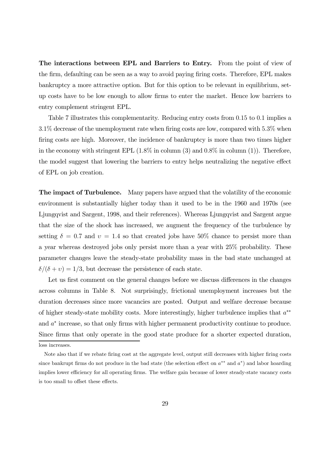The interactions between EPL and Barriers to Entry. From the point of view of the firm, defaulting can be seen as a way to avoid paying firing costs. Therefore, EPL makes bankruptcy a more attractive option. But for this option to be relevant in equilibrium, setup costs have to be low enough to allow firms to enter the market. Hence low barriers to entry complement stringent EPL.

Table 7 illustrates this complementarity. Reducing entry costs from 0.15 to 0.1 implies a 3.1% decrease of the unemployment rate when firing costs are low, compared with 5.3% when firing costs are high. Moreover, the incidence of bankruptcy is more than two times higher in the economy with stringent EPL  $(1.8\%$  in column  $(3)$  and  $0.8\%$  in column  $(1)$ ). Therefore, the model suggest that lowering the barriers to entry helps neutralizing the negative effect of EPL on job creation.

The impact of Turbulence. Many papers have argued that the volatility of the economic environment is substantially higher today than it used to be in the 1960 and 1970s (see Ljungqvist and Sargent, 1998, and their references). Whereas Ljungqvist and Sargent argue that the size of the shock has increased, we augment the frequency of the turbulence by setting  $\delta = 0.7$  and  $v = 1.4$  so that created jobs have 50% chance to persist more than a year whereas destroyed jobs only persist more than a year with 25% probability. These parameter changes leave the steady-state probability mass in the bad state unchanged at  $\delta/(\delta + v) = 1/3$ , but decrease the persistence of each state.

Let us first comment on the general changes before we discuss differences in the changes across columns in Table 8. Not surprisingly, frictional unemployment increases but the duration decreases since more vacancies are posted. Output and welfare decrease because of higher steady-state mobility costs. More interestingly, higher turbulence implies that  $a^{**}$ and a<sup>∗</sup> increase, so that only firms with higher permanent productivity continue to produce. Since firms that only operate in the good state produce for a shorter expected duration,

loss increases.

Note also that if we rebate firing cost at the aggregate level, output still decreases with higher firing costs since bankrupt firms do not produce in the bad state (the selection effect on  $a^{**}$  and  $a^*$ ) and labor hoarding implies lower efficiency for all operating firms. The welfare gain because of lower steady-state vacancy costs is too small to offset these effects.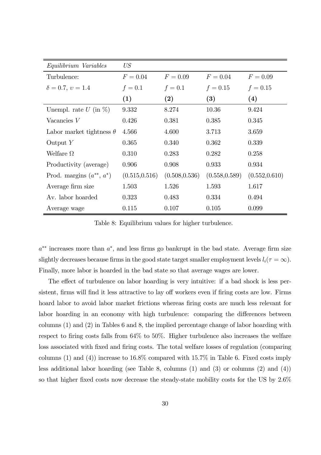| Equilibrium Variables           | US             |                |                |                |
|---------------------------------|----------------|----------------|----------------|----------------|
| Turbulence:                     | $F = 0.04$     | $F = 0.09$     | $F = 0.04$     | $F = 0.09$     |
| $\delta = 0.7, v = 1.4$         | $f = 0.1$      | $f = 0.1$      | $f = 0.15$     | $f = 0.15$     |
|                                 | (1)            | (2)            | (3)            | (4)            |
| Unempl. rate $U$ (in $\%$ )     | 9.332          | 8.274          | 10.36          | 9.424          |
| Vacancies V                     | 0.426          | 0.381          | 0.385          | 0.345          |
| Labor market tightness $\theta$ | 4.566          | 4.600          | 3.713          | 3.659          |
| Output $Y$                      | 0.365          | 0.340          | 0.362          | 0.339          |
| Welfare $\Omega$                | 0.310          | 0.283          | 0.282          | 0.258          |
| Productivity (average)          | 0.906          | 0.908          | 0.933          | 0.934          |
| Prod. margins $(a^{**}, a^*)$   | (0.515, 0.516) | (0.508, 0.536) | (0.558, 0.589) | (0.552, 0.610) |
| Average firm size               | 1.503          | 1.526          | 1.593          | 1.617          |
| Av. labor hoarded               | 0.323          | 0.483          | 0.334          | 0.494          |
| Average wage                    | 0.115          | 0.107          | 0.105          | 0.099          |

Table 8: Equilibrium values for higher turbulence.

 $a^{**}$  increases more than  $a^*$ , and less firms go bankrupt in the bad state. Average firm size slightly decreases because firms in the good state target smaller employment levels  $l_i(\tau = \infty)$ . Finally, more labor is hoarded in the bad state so that average wages are lower.

The effect of turbulence on labor hoarding is very intuitive: if a bad shock is less persistent, firms will find it less attractive to lay off workers even if firing costs are low. Firms hoard labor to avoid labor market frictions whereas firing costs are much less relevant for labor hoarding in an economy with high turbulence: comparing the differences between columns (1) and (2) in Tables 6 and 8, the implied percentage change of labor hoarding with respect to firing costs falls from 64% to 50%. Higher turbulence also increases the welfare loss associated with fixed and firing costs. The total welfare losses of regulation (comparing columns (1) and (4)) increase to 16.8% compared with 15.7% in Table 6. Fixed costs imply less additional labor hoarding (see Table 8, columns (1) and (3) or columns (2) and (4)) so that higher fixed costs now decrease the steady-state mobility costs for the US by 2.6%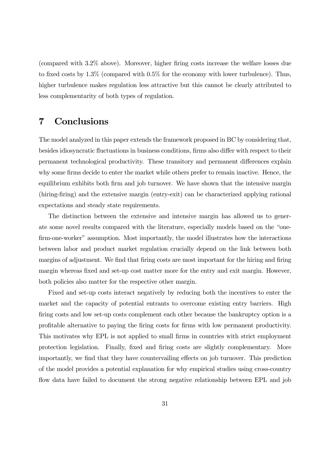(compared with 3.2% above). Moreover, higher firing costs increase the welfare losses due to fixed costs by 1.3% (compared with 0.5% for the economy with lower turbulence). Thus, higher turbulence makes regulation less attractive but this cannot be clearly attributed to less complementarity of both types of regulation.

### 7 Conclusions

The model analyzed in this paper extends the framework proposed in BC by considering that, besides idiosyncratic fluctuations in business conditions, firms also differ with respect to their permanent technological productivity. These transitory and permanent differences explain why some firms decide to enter the market while others prefer to remain inactive. Hence, the equilibrium exhibits both firm and job turnover. We have shown that the intensive margin (hiring-firing) and the extensive margin (entry-exit) can be characterized applying rational expectations and steady state requirements.

The distinction between the extensive and intensive margin has allowed us to generate some novel results compared with the literature, especially models based on the "onefirm-one-worker" assumption. Most importantly, the model illustrates how the interactions between labor and product market regulation crucially depend on the link between both margins of adjustment. We find that firing costs are most important for the hiring and firing margin whereas fixed and set-up cost matter more for the entry and exit margin. However, both policies also matter for the respective other margin.

Fixed and set-up costs interact negatively by reducing both the incentives to enter the market and the capacity of potential entrants to overcome existing entry barriers. High firing costs and low set-up costs complement each other because the bankruptcy option is a profitable alternative to paying the firing costs for firms with low permanent productivity. This motivates why EPL is not applied to small firms in countries with strict employment protection legislation. Finally, fixed and firing costs are slightly complementary. More importantly, we find that they have countervailing effects on job turnover. This prediction of the model provides a potential explanation for why empirical studies using cross-country flow data have failed to document the strong negative relationship between EPL and job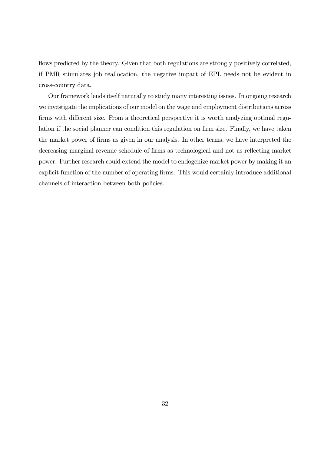flows predicted by the theory. Given that both regulations are strongly positively correlated, if PMR stimulates job reallocation, the negative impact of EPL needs not be evident in cross-country data.

Our framework lends itself naturally to study many interesting issues. In ongoing research we investigate the implications of our model on the wage and employment distributions across firms with different size. From a theoretical perspective it is worth analyzing optimal regulation if the social planner can condition this regulation on firm size. Finally, we have taken the market power of firms as given in our analysis. In other terms, we have interpreted the decreasing marginal revenue schedule of firms as technological and not as reflecting market power. Further research could extend the model to endogenize market power by making it an explicit function of the number of operating firms. This would certainly introduce additional channels of interaction between both policies.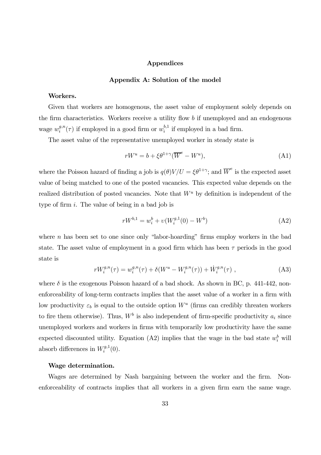### Appendices

### Appendix A: Solution of the model

#### Workers.

Given that workers are homogenous, the asset value of employment solely depends on the firm characteristics. Workers receive a utility flow b if unemployed and an endogenous wage  $w_i^{g,n}(\tau)$  if employed in a good firm or  $w_i^{b,1}$  if employed in a bad firm.

The asset value of the representative unemployed worker in steady state is

$$
rW^{u} = b + \xi \theta^{1+\gamma} (\overline{W}^{e} - W^{u}), \qquad (A1)
$$

where the Poisson hazard of finding a job is  $q(\theta)V/U = \xi \theta^{1+\gamma}$ ; and  $\overline{W}^e$  is the expected asset value of being matched to one of the posted vacancies. This expected value depends on the realized distribution of posted vacancies. Note that  $W^u$  by definition is independent of the type of firm i. The value of being in a bad job is

$$
rW^{b,1} = w_i^b + v(W_i^{g,1}(0) - W^b)
$$
\n(A2)

where  $n$  has been set to one since only "labor-hoarding" firms employ workers in the bad state. The asset value of employment in a good firm which has been  $\tau$  periods in the good state is

$$
rW_i^{g,n}(\tau) = w_i^{g,n}(\tau) + \delta(W^u - W_i^{g,n}(\tau)) + \dot{W}_i^{g,n}(\tau) , \qquad (A3)
$$

where  $\delta$  is the exogenous Poisson hazard of a bad shock. As shown in BC, p. 441-442, nonenforceability of long-term contracts implies that the asset value of a worker in a firm with low productivity  $\varepsilon_b$  is equal to the outside option  $W^u$  (firms can credibly threaten workers to fire them otherwise). Thus,  $W^b$  is also independent of firm-specific productivity  $a_i$  since unemployed workers and workers in firms with temporarily low productivity have the same expected discounted utility. Equation (A2) implies that the wage in the bad state  $w_i^b$  will absorb differences in  $W_i^{g,1}(0)$ .

#### Wage determination.

Wages are determined by Nash bargaining between the worker and the firm. Nonenforceability of contracts implies that all workers in a given firm earn the same wage.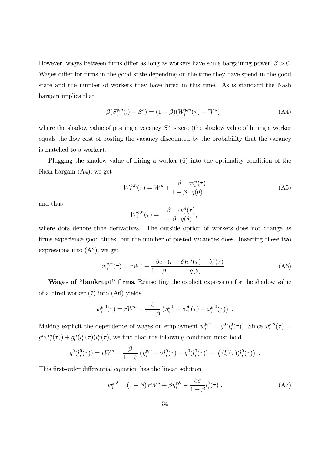However, wages between firms differ as long as workers have some bargaining power,  $\beta > 0$ . Wages differ for firms in the good state depending on the time they have spend in the good state and the number of workers they have hired in this time. As is standard the Nash bargain implies that

$$
\beta(S_i^{g,n}(.) - S^o) = (1 - \beta)(W_i^{g,n}(\tau) - W^u) , \qquad (A4)
$$

where the shadow value of posting a vacancy  $S^{\circ}$  is zero (the shadow value of hiring a worker equals the flow cost of posting the vacancy discounted by the probability that the vacancy is matched to a worker).

Plugging the shadow value of hiring a worker (6) into the optimality condition of the Nash bargain (A4), we get

$$
W_i^{g,n}(\tau) = W^u + \frac{\beta}{1 - \beta} \frac{cv_i^n(\tau)}{q(\theta)}
$$
(A5)

and thus

$$
\dot{W}_i^{g,n}(\tau) = \frac{\beta}{1-\beta} \frac{c \dot{v}_i^n(\tau)}{q(\theta)},
$$

where dots denote time derivatives. The outside option of workers does not change as firms experience good times, but the number of posted vacancies does. Inserting these two expressions into (A3), we get

$$
w_i^{g,n}(\tau) = rW^u + \frac{\beta c}{1-\beta} \frac{(r+\delta)v_i^n(\tau) - \dot{v}_i^n(\tau)}{q(\theta)}.
$$
 (A6)

Wages of "bankrupt" firms. Reinserting the explicit expression for the shadow value of a hired worker (7) into (A6) yields

$$
w_i^{g,0}(\tau) = rW^u + \frac{\beta}{1-\beta} \left( \eta_i^{g,0} - \sigma l_i^0(\tau) - \omega_i^{g,0}(\tau) \right) .
$$

Making explicit the dependence of wages on employment  $w_i^{g,0} = g^0(l_i^0(\tau))$ . Since  $\omega_i^{g,n}(\tau) =$  $g^n(l_i^n(\tau)) + g_i^n(l_i^n(\tau))l_i^n(\tau)$ , we find that the following condition must hold

$$
g^{0}(l_{i}^{0}(\tau)) = rW^{u} + \frac{\beta}{1-\beta} \left( \eta_{i}^{g,0} - \sigma l_{i}^{0}(\tau) - g^{0}(l_{i}^{0}(\tau)) - g_{l}^{0}(l_{i}^{0}(\tau))l_{i}^{0}(\tau) \right) .
$$

This first-order differential equation has the linear solution

$$
w_i^{g,0} = (1 - \beta) r W^u + \beta \eta_i^{g,0} - \frac{\beta \sigma}{1 + \beta} l_i^0(\tau) . \tag{A7}
$$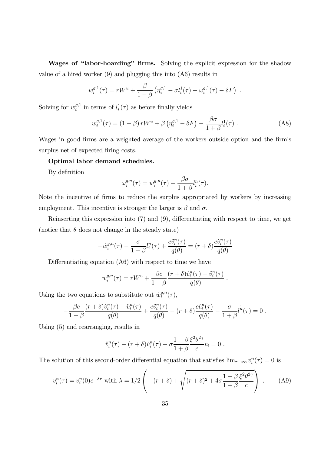Wages of "labor-hoarding" firms. Solving the explicit expression for the shadow value of a hired worker (9) and plugging this into (A6) results in

$$
w_i^{g,1}(\tau) = rW^u + \frac{\beta}{1-\beta} \left( \eta_i^{g,1} - \sigma l_i^1(\tau) - \omega_i^{g,1}(\tau) - \delta F \right) .
$$

Solving for  $w_i^{g,1}$  in terms of  $l_i^1(\tau)$  as before finally yields

$$
w_i^{g,1}(\tau) = (1 - \beta) r W^u + \beta \left( \eta_i^{g,1} - \delta F \right) - \frac{\beta \sigma}{1 + \beta} l_i^1(\tau) . \tag{A8}
$$

Wages in good firms are a weighted average of the workers outside option and the firm's surplus net of expected firing costs.

### Optimal labor demand schedules.

By definition

$$
\omega_i^{g,n}(\tau) = w_i^{g,n}(\tau) - \frac{\beta \sigma}{1 + \beta} l_i^n(\tau).
$$

Note the incentive of firms to reduce the surplus appropriated by workers by increasing employment. This incentive is stronger the larger is  $\beta$  and  $\sigma$ .

Reinserting this expression into (7) and (9), differentiating with respect to time, we get (notice that  $\theta$  does not change in the steady state)

$$
- \dot{w}_i^{g,n}(\tau) - \frac{\sigma}{1+\beta} \dot{v}_i^n(\tau) + \frac{c \ddot{v}_i^n(\tau)}{q(\theta)} = (r+\delta) \frac{c \dot{v}_i^n(\tau)}{q(\theta)}
$$

Differentiating equation (A6) with respect to time we have

$$
\dot{w}_i^{g,n}(\tau) = rW^u + \frac{\beta c}{1-\beta} \frac{(r+\delta)\dot{v}_i^n(\tau) - \ddot{v}_i^n(\tau)}{q(\theta)}.
$$

Using the two equations to substitute out  $\dot{w}_i^{g,n}(\tau)$ ,

$$
-\frac{\beta c}{1-\beta} \frac{(r+\delta)\dot{v}_i^n(\tau)-\ddot{v}_i^n(\tau)}{q(\theta)}+\frac{c\ddot{v}_i^n(\tau)}{q(\theta)}-(r+\delta)\frac{c\dot{v}_i^n(\tau)}{q(\theta)}-\frac{\sigma}{1+\beta}l^n(\tau)=0.
$$

Using (5) and rearranging, results in

$$
\ddot{v}_i^n(\tau) - (r+\delta)\dot{v}_i^n(\tau) - \sigma \frac{1-\beta}{1+\beta} \frac{\xi^2 \theta^{2\gamma}}{c} v_i = 0.
$$

The solution of this second-order differential equation that satisfies  $\lim_{\tau \to \infty} v_i^n(\tau) = 0$  is

$$
v_i^n(\tau) = v_i^n(0)e^{-\lambda \tau} \text{ with } \lambda = 1/2 \left( -(r+\delta) + \sqrt{(r+\delta)^2 + 4\sigma \frac{1-\beta \xi^2 \theta^{2\gamma}}{1+\beta c}} \right) . \tag{A9}
$$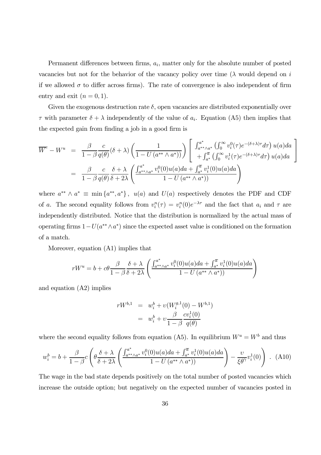Permanent differences between firms,  $a_i$ , matter only for the absolute number of posted vacancies but not for the behavior of the vacancy policy over time ( $\lambda$  would depend on i if we allowed  $\sigma$  to differ across firms). The rate of convergence is also independent of firm entry and exit  $(n = 0, 1)$ .

Given the exogenous destruction rate  $\delta$ , open vacancies are distributed exponentially over  $\tau$  with parameter  $\delta + \lambda$  independently of the value of  $a_i$ . Equation (A5) then implies that the expected gain from finding a job in a good firm is

$$
\overline{W}^{e} - W^{u} = \frac{\beta}{1 - \beta} \frac{c}{q(\theta)} (\delta + \lambda) \left( \frac{1}{1 - U(a^{**} \wedge a^{*}))} \right) \left[ \begin{array}{l} \int_{a^{**} \wedge a^{*}}^{a^{*}} \left( \int_{0}^{\infty} v_{i}^{0} (\tau) e^{-(\delta + \lambda) \tau} d\tau \right) u(a) da \\ + \int_{a^{*}}^{\overline{a}} \left( \int_{0}^{\infty} v_{i}^{1} (\tau) e^{-(\delta + \lambda) \tau} d\tau \right) u(a) da \end{array} \right]
$$
\n
$$
= \frac{\beta}{1 - \beta} \frac{c}{q(\theta)} \frac{\delta + \lambda}{\delta + 2\lambda} \left( \frac{\int_{a^{**} \wedge a^{*}}^{a^{*}} v_{i}^{0}(0) u(a) da + \int_{a^{*}}^{\overline{a}} v_{i}^{1}(0) u(a) da}{1 - U(a^{**} \wedge a^{*})} \right)
$$

 $\mathsf I$ 

 $\mathbf{I}$ 

where  $a^{**} \wedge a^* \equiv \min\{a^{**}, a^*\}, u(a)$  and  $U(a)$  respectively denotes the PDF and CDF of a. The second equality follows from  $v_i^n(\tau) = v_i^n(0)e^{-\lambda \tau}$  and the fact that  $a_i$  and  $\tau$  are independently distributed. Notice that the distribution is normalized by the actual mass of operating firms  $1-U(a^{**}\wedge a^*)$  since the expected asset value is conditioned on the formation of a match.

Moreover, equation (A1) implies that

$$
rW^{u} = b + c\theta \frac{\beta}{1-\beta} \frac{\delta + \lambda}{\delta + 2\lambda} \left( \frac{\int_{a^{**}\wedge a^{*}}^{a^{*}} v_{i}^{0}(0)u(a)da + \int_{a^{*}}^{\overline{a}} v_{i}^{1}(0)u(a)da}{1 - U(a^{**}\wedge a^{*}))} \right)
$$

and equation (A2) implies

$$
rW^{b,1} = w_i^b + v(W_i^{g,1}(0) - W^{b,1})
$$
  
=  $w_i^b + v \frac{\beta}{1 - \beta} \frac{cv_i^1(0)}{q(\theta)}$ 

where the second equality follows from equation (A5). In equilibrium  $W^u = W^b$  and thus

$$
w_i^b = b + \frac{\beta}{1-\beta} c \left( \theta \frac{\delta + \lambda}{\delta + 2\lambda} \left( \frac{\int_{a^{**} \wedge a^*}^{a^*} v_i^0(0) u(a) da + \int_{a^*}^{\overline{a}} v_i^1(0) u(a) da}{1 - U \left( a^{**} \wedge a^* \right)} \right) - \frac{v}{\xi \theta^{\gamma}} v_i^1(0) \right) .
$$
 (A10)

The wage in the bad state depends positively on the total number of posted vacancies which increase the outside option; but negatively on the expected number of vacancies posted in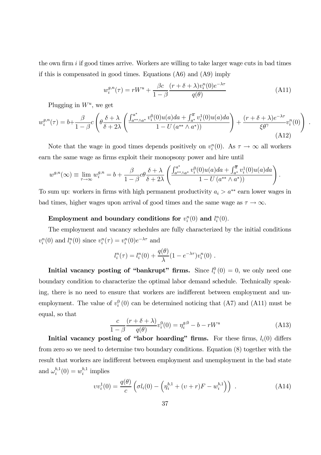the own firm  $i$  if good times arrive. Workers are willing to take larger wage cuts in bad times if this is compensated in good times. Equations (A6) and (A9) imply

$$
w_i^{g,n}(\tau) = rW^u + \frac{\beta c}{1-\beta} \frac{(r+\delta+\lambda)v_i^n(0)e^{-\lambda \tau}}{q(\theta)}
$$
(A11)

.

Plugging in  $W^u$ , we get

$$
w_i^{g,n}(\tau) = b + \frac{\beta}{1-\beta} c \left( \theta \frac{\delta + \lambda}{\delta + 2\lambda} \left( \frac{\int_{a^{**} \wedge a^*}^{a^*} v_i^0(0) u(a) da + \int_{a^*}^{\overline{a}} v_i^1(0) u(a) da}{1 - U \left( a^{**} \wedge a^* \right)} \right) + \frac{(r + \delta + \lambda) e^{-\lambda \tau}}{\xi \theta^{\gamma}} v_i^n(0) \right)
$$
(A12)

Note that the wage in good times depends positively on  $v_i^n(0)$ . As  $\tau \to \infty$  all workers earn the same wage as firms exploit their monopsony power and hire until

$$
w^{g,n}(\infty) \equiv \lim_{\tau \to \infty} w_i^{g,n} = b + \frac{\beta}{1-\beta} c \theta \frac{\delta + \lambda}{\delta + 2\lambda} \left( \frac{\int_{a^{**} \wedge a^*}^{a^*} v_i^0(0) u(a) da + \int_{a^*}^{\overline{a}} v_i^1(0) u(a) da}{1 - U \left( a^{**} \wedge a^* \right)} \right).
$$

To sum up: workers in firms with high permanent productivity  $a_i > a^{**}$  earn lower wages in bad times, higher wages upon arrival of good times and the same wage as  $\tau \to \infty$ .

### Employment and boundary conditions for  $v_i^n(0)$  and  $l_i^n(0)$ .

The employment and vacancy schedules are fully characterized by the initial conditions  $v_i^n(0)$  and  $l_i^n(0)$  since  $v_i^n(\tau) = v_i^n(0)e^{-\lambda \tau}$  and

$$
l_i^n(\tau) = l_i^n(0) + \frac{q(\theta)}{\lambda} (1 - e^{-\lambda \tau}) v_i^n(0) .
$$

Initial vacancy posting of "bankrupt" firms. Since  $l_i^0(0) = 0$ , we only need one boundary condition to characterize the optimal labor demand schedule. Technically speaking, there is no need to ensure that workers are indifferent between employment and unemployment. The value of  $v_i^0(0)$  can be determined noticing that (A7) and (A11) must be equal, so that

$$
\frac{c}{1-\beta} \frac{(r+\delta+\lambda)}{q(\theta)} v_i^0(0) = \eta_i^{g,0} - b - rW^u
$$
 (A13)

Initial vacancy posting of "labor hoarding" firms. For these firms,  $l_i(0)$  differs from zero so we need to determine two boundary conditions. Equation (8) together with the result that workers are indifferent between employment and unemployment in the bad state and  $\omega_i^{b,1}(0) = w_i^{b,1}$  implies

$$
vv_i^1(0) = \frac{q(\theta)}{c} \left( \sigma l_i(0) - \left( \eta_i^{b,1} + (v+r)F - w_i^{b,1} \right) \right) \,. \tag{A14}
$$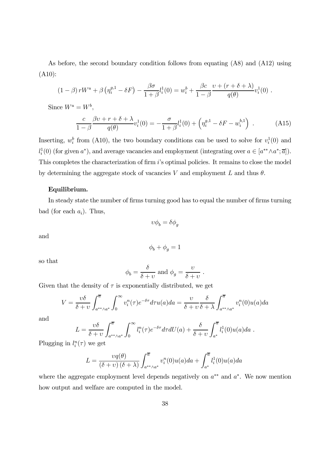As before, the second boundary condition follows from equating (A8) and (A12) using (A10):

$$
(1-\beta) rW^u + \beta \left(\eta_i^{g,1} - \delta F\right) - \frac{\beta \sigma}{1+\beta} l_i^1(0) = w_i^b + \frac{\beta c}{1-\beta} \frac{v + (r+\delta+\lambda)}{q(\theta)} v_i^1(0) .
$$

Since  $W^u = W^b$ ,

$$
\frac{c}{1-\beta} \frac{\beta v + r + \delta + \lambda}{q(\theta)} v_i^1(0) = -\frac{\sigma}{1+\beta} l_i^1(0) + \left(\eta_i^{g,1} - \delta F - w_i^{b,1}\right) \,. \tag{A15}
$$

Inserting,  $w_i^b$  from (A10), the two boundary conditions can be used to solve for  $v_i^1(0)$  and  $l_i^1(0)$  (for given  $a^*$ ), and average vacancies and employment (integrating over  $a \in [a^{**} \wedge a^*; \overline{a}]$ ). This completes the characterization of firm i's optimal policies. It remains to close the model by determining the aggregate stock of vacancies V and employment L and thus  $\theta$ .

#### Equilibrium.

In steady state the number of firms turning good has to equal the number of firms turning bad (for each  $a_i$ ). Thus,

$$
v\phi_b = \delta\phi_g
$$

and

$$
\phi_b+\phi_g=1
$$

so that

$$
\phi_b = \frac{\delta}{\delta + v}
$$
 and  $\phi_g = \frac{v}{\delta + v}$ .

Given that the density of  $\tau$  is exponentially distributed, we get

$$
V = \frac{\upsilon \delta}{\delta + \upsilon} \int_{a^{**} \wedge a^*}^{\overline{a}} \int_0^{\infty} v_i^n(\tau) e^{-\delta \tau} d\tau u(a) da = \frac{\upsilon}{\delta + \upsilon} \frac{\delta}{\delta + \lambda} \int_{a^{**} \wedge a^*}^{\overline{a}} v_i^n(0) u(a) da
$$

and

$$
L = \frac{\upsilon \delta}{\delta + \upsilon} \int_{a^{**} \wedge a^*}^{\overline{a}} \int_0^{\infty} l_i^n(\tau) e^{-\delta \tau} d\tau dU(a) + \frac{\delta}{\delta + \upsilon} \int_{a^*}^{\overline{a}} l_i^1(0) u(a) da.
$$

Plugging in  $l_i^n(\tau)$  we get

$$
L = \frac{\upsilon q(\theta)}{(\delta + \upsilon)(\delta + \lambda)} \int_{a^{**}\wedge a^*}^{\overline{a}} \upsilon_i^n(0)u(a)da + \int_{a^*}^{\overline{a}} l_i^1(0)u(a)da
$$

where the aggregate employment level depends negatively on  $a^{**}$  and  $a^*$ . We now mention how output and welfare are computed in the model.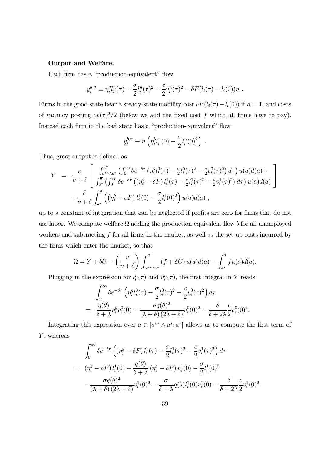### Output and Welfare.

Each firm has a "production-equivalent" flow

$$
y_i^{g,n} \equiv \eta_i^g l_i^n(\tau) - \frac{\sigma}{2} l_i^n(\tau)^2 - \frac{c}{2} v_i^n(\tau)^2 - \delta F(l_i(\tau) - l_i(0))n .
$$

Firms in the good state bear a steady-state mobility cost  $\delta F(l_i(\tau) - l_i(0))$  if  $n = 1$ , and costs of vacancy posting  $cv(\tau)^2/2$  (below we add the fixed cost f which all firms have to pay). Instead each firm in the bad state has a "production-equivalent" flow

$$
y_i^{b,n} \equiv n \left( \eta_i^b l_i^n(0) - \frac{\sigma}{2} l_i^n(0)^2 \right) .
$$

Thus, gross output is defined as

$$
Y = \frac{\upsilon}{\upsilon + \delta} \left[ \frac{\int_{a^{*}}^{a^{*}} \int_{0}^{\infty} \delta e^{-\delta \tau} \left( \eta_{i}^{g} l_{i}^{0}(\tau) - \frac{\sigma}{2} l_{i}^{0}(\tau)^{2} - \frac{\sigma}{2} \upsilon_{i}^{0}(\tau)^{2} \right) d\tau \right) u(a) d(a) + \\ + \frac{\delta}{\upsilon + \delta} \int_{a^{*}}^{\overline{a}} \left( \int_{0}^{\infty} \delta e^{-\delta \tau} \left( \left( \eta_{i}^{g} - \delta F \right) l_{i}^{1}(\tau) - \frac{\sigma}{2} l_{i}^{1}(\tau)^{2} - \frac{\sigma}{2} \upsilon_{i}^{1}(\tau)^{2} \right) d\tau \right) u(a) d(a) \right] + \frac{\delta}{\upsilon + \delta} \int_{a^{*}}^{\overline{a}} \left( \left( \eta_{i}^{b} + \upsilon F \right) l_{i}^{1}(0) - \frac{\sigma}{2} l_{i}^{1}(0)^{2} \right) u(a) d(a) ,
$$

up to a constant of integration that can be neglected if profits are zero for firms that do not use labor. We compute welfare  $\Omega$  adding the production-equivalent flow b for all unemployed workers and subtracting f for all firms in the market, as well as the set-up costs incurred by the firms which enter the market, so that

$$
\Omega = Y + bU - \left(\frac{v}{v+\delta}\right) \int_{a^{**}\wedge a^*}^{a^*} (f+\delta C) u(a)d(a) - \int_{a^*}^{\overline{a}} fu(a)d(a).
$$

Plugging in the expression for  $l_i^n(\tau)$  and  $v_i^n(\tau)$ , the first integral in Y reads

$$
\int_0^\infty \delta e^{-\delta \tau} \left( \eta_i^q l_i^0(\tau) - \frac{\sigma}{2} l_i^0(\tau)^2 - \frac{c}{2} v_i^0(\tau)^2 \right) d\tau
$$
  
= 
$$
\frac{q(\theta)}{\delta + \lambda} \eta_i^q v_i^0(0) - \frac{\sigma q(\theta)^2}{(\lambda + \delta)(2\lambda + \delta)} v_i^0(0)^2 - \frac{\delta}{\delta + 2\lambda} \frac{c}{2} v_i^0(0)^2.
$$

Integrating this expression over  $a \in [a^{**} \wedge a^*; a^*]$  allows us to compute the first term of  $Y$ , whereas

$$
\int_0^{\infty} \delta e^{-\delta \tau} \left( (\eta_i^g - \delta F) l_i^1(\tau) - \frac{\sigma}{2} l_i^1(\tau)^2 - \frac{c}{2} v_i^1(\tau)^2 \right) d\tau
$$
  
=  $(\eta_i^g - \delta F) l_i^1(0) + \frac{q(\theta)}{\delta + \lambda} (\eta_i^g - \delta F) v_i^1(0) - \frac{\sigma}{2} l_i^1(0)^2$   

$$
-\frac{\sigma q(\theta)^2}{(\lambda + \delta) (2\lambda + \delta)} v_i^1(0)^2 - \frac{\sigma}{\delta + \lambda} q(\theta) l_i^1(0) v_i^1(0) - \frac{\delta}{\delta + 2\lambda} \frac{c}{2} v_i^1(0)^2.
$$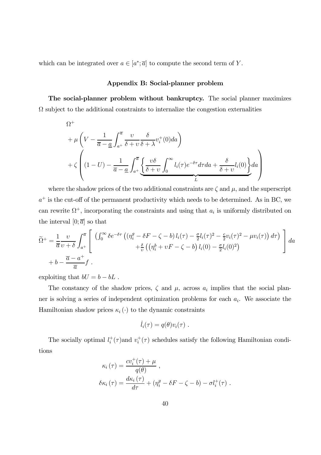which can be integrated over  $a \in [a^*; \overline{a}]$  to compute the second term of Y.

#### Appendix B: Social-planner problem

The social-planner problem without bankruptcy. The social planner maximizes  $\Omega$  subject to the additional constraints to internalize the congestion externalities

$$
\Omega^{+}
$$
\n
$$
+\mu \left( V - \frac{1}{\overline{a} - \underline{a}} \int_{a^{+}}^{\overline{a}} \frac{v}{\delta + v} \frac{\delta}{\delta + v} v_{i}^{+}(0) da \right)
$$
\n
$$
+\zeta \left( (1 - U) - \frac{1}{\overline{a} - \underline{a}} \int_{a^{+}}^{\overline{a}} \underbrace{\left\{ \frac{v \delta}{\delta + v} \int_{0}^{\infty} l_{i}(\tau) e^{-\delta \tau} d\tau da + \frac{\delta}{\delta + v} l_{i}(0) \right\}}_{L} da \right)
$$

where the shadow prices of the two additional constraints are  $\zeta$  and  $\mu$ , and the superscript  $a^+$  is the cut-off of the permanent productivity which needs to be determined. As in BC, we can rewrite  $\Omega^+$ , incorporating the constraints and using that  $a_i$  is uniformly distributed on the interval  $[0;\overline{a}]$  so that

$$
\widetilde{\Omega}^{+} = \frac{1}{\overline{a}} \frac{\upsilon}{\upsilon + \delta} \int_{a^{+}}^{\overline{a}} \left[ \left( \int_{0}^{\infty} \delta e^{-\delta \tau} \left( (\eta_{i}^{g} - \delta F - \zeta - b) l_{i}(\tau) - \frac{\sigma}{2} l_{i}(\tau)^{2} - \frac{c}{2} \upsilon_{i}(\tau)^{2} - \mu \upsilon_{i}(\tau) \right) d\tau \right) \right] d\tau + b - \frac{\overline{a} - a^{+}}{\overline{a}} f.
$$

exploiting that  $bU = b - bL$ .

The constancy of the shadow prices,  $\zeta$  and  $\mu$ , across  $a_i$  implies that the social planner is solving a series of independent optimization problems for each  $a_i$ . We associate the Hamiltonian shadow prices  $\kappa_i(\cdot)$  to the dynamic constraints

$$
\dot{l}_i(\tau) = q(\theta)v_i(\tau) .
$$

The socially optimal  $l_i^+(\tau)$  and  $v_i^+(\tau)$  schedules satisfy the following Hamiltonian conditions

$$
\kappa_i(\tau) = \frac{cv_i^+(\tau) + \mu}{q(\theta)},
$$
  
\n
$$
\delta \kappa_i(\tau) = \frac{d\kappa_i(\tau)}{d\tau} + (\eta_i^g - \delta F - \zeta - b) - \sigma l_i^+(\tau).
$$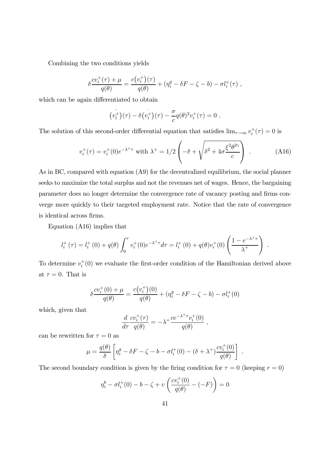Combining the two conditions yields

$$
\delta \frac{cv_i^+(\tau) + \mu}{q(\theta)} = \frac{c(v_i^+)(\tau)}{q(\theta)} + (\eta_i^g - \delta F - \zeta - b) - \sigma l_i^+(\tau) ,
$$

which can be again differentiated to obtain

$$
\ddot{v}_i^+)(\tau) - \delta(v_i^+)(\tau) - \frac{\sigma}{c}q(\theta)^2 v_i^+(\tau) = 0.
$$

The solution of this second-order differential equation that satisfies  $\lim_{\tau \to \infty} v_i^+(\tau) = 0$  is

$$
v_i^+(\tau) = v_i^+(0)e^{-\lambda^+\tau} \text{ with } \lambda^+ = 1/2\left(-\delta + \sqrt{\delta^2 + 4\sigma\frac{\xi^2\theta^{2\gamma}}{c}}\right) \ . \tag{A16}
$$

As in BC, compared with equation (A9) for the decentralized equilibrium, the social planner seeks to maximize the total surplus and not the revenues net of wages. Hence, the bargaining parameter does no longer determine the convergence rate of vacancy posting and firms converge more quickly to their targeted employment rate. Notice that the rate of convergence is identical across firms.

Equation (A16) implies that

$$
l_i^+(\tau) = l_i^+(0) + q(\theta) \int_0^\tau v_i^+(0) e^{-\lambda^+\tau} d\tau = l_i^+(0) + q(\theta) v_i^+(0) \left(\frac{1 - e^{-\lambda^+\tau}}{\lambda^+}\right).
$$

To determine  $v_i^+(0)$  we evaluate the first-order condition of the Hamiltonian derived above at  $\tau = 0$ . That is

$$
\delta \frac{cv_i^+(0) + \mu}{q(\theta)} = \frac{c(v_i^+)(0)}{q(\theta)} + (\eta_i^g - \delta F - \zeta - b) - \sigma l_i^+(0)
$$

which, given that

$$
\frac{d}{d\tau}\frac{cv_i^+(\tau)}{q(\theta)} = -\lambda^+\frac{ce^{-\lambda^+\tau}v_i^+(0)}{q(\theta)},
$$

can be rewritten for  $\tau = 0$  as

$$
\mu = \frac{q(\theta)}{\delta} \left[ \eta_i^g - \delta F - \zeta - b - \sigma l_i^+(0) - (\delta + \lambda^+) \frac{cv_i^+(0)}{q(\theta)} \right] .
$$

The second boundary condition is given by the firing condition for  $\tau = 0$  (keeping  $r = 0$ )

$$
\eta_i^b - \sigma l_i^+(0) - b - \zeta + \upsilon \left( \frac{cv_i^+(0)}{q(\theta)} - (-F) \right) = 0
$$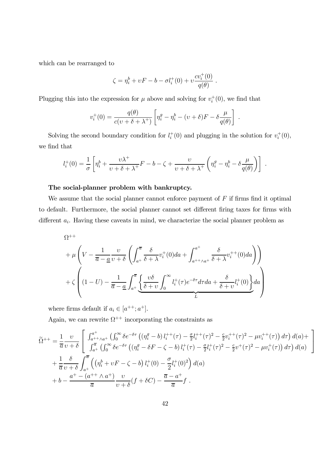which can be rearranged to

$$
\zeta = \eta_i^b + vF - b - \sigma l_i^+(0) + v \frac{cv_i^+(0)}{q(\theta)}.
$$

Plugging this into the expression for  $\mu$  above and solving for  $v_i^+(0)$ , we find that

$$
v_i^+(0) = \frac{q(\theta)}{c(\nu + \delta + \lambda^+)} \left[ \eta_i^g - \eta_i^b - (\nu + \delta)F - \delta \frac{\mu}{q(\theta)} \right] .
$$

Solving the second boundary condition for  $l_i^+(0)$  and plugging in the solution for  $v_i^+(0)$ , we find that

$$
l_i^+(0) = \frac{1}{\sigma} \left[ \eta_i^b + \frac{\upsilon \lambda^+}{\upsilon + \delta + \lambda^+} F - b - \zeta + \frac{\upsilon}{\upsilon + \delta + \lambda^+} \left( \eta_i^g - \eta_i^b - \delta \frac{\mu}{q(\theta)} \right) \right] .
$$

#### The social-planner problem with bankruptcy.

We assume that the social planner cannot enforce payment of  $F$  if firms find it optimal to default. Furthermore, the social planner cannot set different firing taxes for firms with different  $a_i$ . Having these caveats in mind, we characterize the social planner problem as

$$
\Omega^{++}
$$
\n
$$
+\mu \left( V - \frac{1}{\overline{a} - \underline{a}} \frac{v}{v + \delta} \left( \int_{a^+}^{\overline{a}} \frac{\delta}{\delta + \lambda} v_i^+(0) da + \int_{a^+ + \lambda a^+}^{a^+} \frac{\delta}{\delta + \lambda} v_i^{++}(0) da \right) \right)
$$
\n
$$
+\zeta \left( (1 - U) - \frac{1}{\overline{a} - \underline{a}} \int_{a^+}^{\overline{a}} \underbrace{\left( \frac{v \delta}{\delta + v} \int_0^\infty l_i^+(\tau) e^{-\delta \tau} d\tau da + \frac{\delta}{\delta + v} l_i^+(0) \right)}_{L} da \right)
$$

where firms default if  $a_i \in [a^{++}; a^+]$ .

Again, we can rewrite  $\Omega^{++}$  incorporating the constraints as

$$
\widetilde{\Omega}^{++} = \frac{1}{\overline{a}} \frac{\nu}{\nu + \delta} \left[ \int_{a^{++} \wedge a^{+}}^{a^{+}} \left( \int_{0}^{\infty} \delta e^{-\delta \tau} \left( (\eta_{i}^{g} - b) l_{i}^{++}(\tau) - \frac{\sigma}{2} l_{i}^{++}(\tau)^{2} - \frac{\varepsilon}{2} v_{i}^{++}(\tau)^{2} - \mu v_{i}^{++}(\tau) \right) d\tau \right) d(a) + \int_{a^{+}}^{a^{+}} \left( \int_{0}^{\infty} \delta e^{-\delta \tau} \left( (\eta_{i}^{g} - \delta F - \zeta - b) l_{i}^{+}(\tau) - \frac{\sigma}{2} l_{i}^{+}(\tau)^{2} - \frac{\varepsilon}{2} v^{+}(\tau)^{2} - \mu v_{i}^{+}(\tau) \right) d\tau \right) d(a) + \frac{1}{\overline{a}} \frac{\delta}{\nu + \delta} \int_{a^{+}}^{\overline{a}} \left( (\eta_{i}^{b} + \nu F - \zeta - b) l_{i}^{+}(0) - \frac{\sigma}{2} l_{i}^{+}(0)^{2} \right) d(a) + b - \frac{a^{+} - (a^{++} \wedge a^{+})}{\overline{a}} \frac{\nu}{\nu + \delta} (f + \delta C) - \frac{\overline{a} - a^{+}}{\overline{a}} f.
$$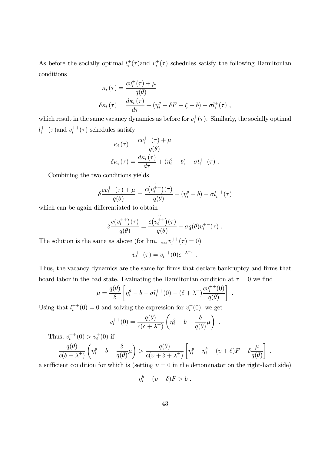As before the socially optimal  $l_i^+(\tau)$  and  $v_i^+(\tau)$  schedules satisfy the following Hamiltonian conditions

$$
\kappa_i(\tau) = \frac{cv_i^+(\tau) + \mu}{q(\theta)}
$$
  

$$
\delta\kappa_i(\tau) = \frac{d\kappa_i(\tau)}{d\tau} + (\eta_i^g - \delta F - \zeta - b) - \sigma l_i^+(\tau) ,
$$

which result in the same vacancy dynamics as before for  $v_i^+(\tau)$ . Similarly, the socially optimal  $l_i^{++}(\tau)$  and  $v_i^{++}(\tau)$  schedules satisfy

$$
\kappa_i(\tau) = \frac{cv_i^{++}(\tau) + \mu}{q(\theta)}
$$

$$
\delta \kappa_i(\tau) = \frac{d\kappa_i(\tau)}{d\tau} + (\eta_i^g - b) - \sigma l_i^{++}(\tau) .
$$

Combining the two conditions yields

$$
\delta \frac{cv_i^{++}(\tau) + \mu}{q(\theta)} = \frac{c(v_i^{++})(\tau)}{q(\theta)} + (\eta_i^g - b) - \sigma l_i^{++}(\tau)
$$

which can be again differentiated to obtain

$$
\delta \frac{c(v_i^{++})(\tau)}{q(\theta)} = \frac{c(v_i^{++})(\tau)}{q(\theta)} - \sigma q(\theta) v_i^{++}(\tau) .
$$

The solution is the same as above (for  $\lim_{\tau \to \infty} v_i^{++}(\tau) = 0$ )

$$
v_i^{++}(\tau) = v_i^{++}(0)e^{-\lambda^+\tau} .
$$

Thus, the vacancy dynamics are the same for firms that declare bankruptcy and firms that hoard labor in the bad state. Evaluating the Hamiltonian condition at  $\tau = 0$  we find

$$
\mu = \frac{q(\theta)}{\delta} \left[ \eta_i^g - b - \sigma l_i^{++}(0) - (\delta + \lambda^+) \frac{cv_i^{++}(0)}{q(\theta)} \right] .
$$

Using that  $l_i^{++}(0) = 0$  and solving the expression for  $v_i^{+}(0)$ , we get

$$
v_i^{++}(0) = \frac{q(\theta)}{c(\delta + \lambda^+)} \left( \eta_i^g - b - \frac{\delta}{q(\theta)} \mu \right)
$$

.

Thus,  $v_i^{++}(0) > v_i^{+}(0)$  if

$$
\frac{q(\theta)}{c(\delta + \lambda^{+})} \left( \eta_{i}^{g} - b - \frac{\delta}{q(\theta)} \mu \right) > \frac{q(\theta)}{c(\upsilon + \delta + \lambda^{+})} \left[ \eta_{i}^{g} - \eta_{i}^{b} - (\upsilon + \delta)F - \delta \frac{\mu}{q(\theta)} \right] ,
$$

a sufficient condition for which is (setting  $v = 0$  in the denominator on the right-hand side)

$$
\eta_i^b - (v + \delta)F > b \; .
$$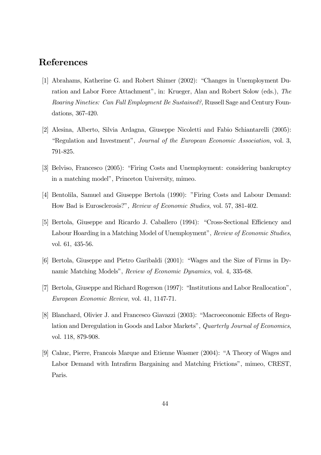### References

- [1] Abrahams, Katherine G. and Robert Shimer (2002): "Changes in Unemployment Duration and Labor Force Attachment", in: Krueger, Alan and Robert Solow (eds.), The Roaring Nineties: Can Full Employment Be Sustained?, Russell Sage and Century Foundations, 367-420.
- [2] Alesina, Alberto, Silvia Ardagna, Giuseppe Nicoletti and Fabio Schiantarelli (2005): "Regulation and Investment", Journal of the European Economic Association, vol. 3, 791-825.
- [3] Belviso, Francesco (2005): "Firing Costs and Unemployment: considering bankruptcy in a matching model", Princeton University, mimeo.
- [4] Bentolila, Samuel and Giuseppe Bertola (1990): "Firing Costs and Labour Demand: How Bad is Eurosclerosis?", Review of Economic Studies, vol. 57, 381-402.
- [5] Bertola, Giuseppe and Ricardo J. Caballero (1994): "Cross-Sectional Efficiency and Labour Hoarding in a Matching Model of Unemployment", Review of Economic Studies, vol. 61, 435-56.
- [6] Bertola, Giuseppe and Pietro Garibaldi (2001): "Wages and the Size of Firms in Dynamic Matching Models", Review of Economic Dynamics, vol. 4, 335-68.
- [7] Bertola, Giuseppe and Richard Rogerson (1997): "Institutions and Labor Reallocation", European Economic Review, vol. 41, 1147-71.
- [8] Blanchard, Olivier J. and Francesco Giavazzi (2003): "Macroeconomic Effects of Regulation and Deregulation in Goods and Labor Markets", Quarterly Journal of Economics, vol. 118, 879-908.
- [9] Cahuc, Pierre, Francois Marque and Etienne Wasmer (2004): "A Theory of Wages and Labor Demand with Intrafirm Bargaining and Matching Frictions", mimeo, CREST, Paris.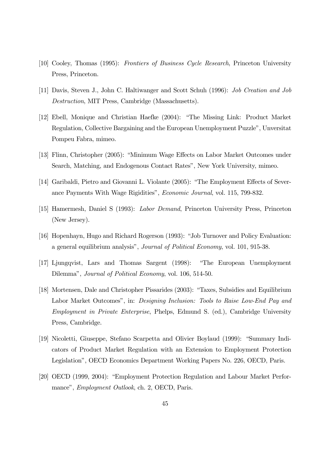- [10] Cooley, Thomas (1995): Frontiers of Business Cycle Research, Princeton University Press, Princeton.
- [11] Davis, Steven J., John C. Haltiwanger and Scott Schuh (1996): Job Creation and Job Destruction, MIT Press, Cambridge (Massachusetts).
- [12] Ebell, Monique and Christian Haefke (2004): "The Missing Link: Product Market Regulation, Collective Bargaining and the European Unemployment Puzzle", Unversitat Pompeu Fabra, mimeo.
- [13] Flinn, Christopher (2005): "Minimum Wage Effects on Labor Market Outcomes under Search, Matching, and Endogenous Contact Rates", New York University, mimeo.
- [14] Garibaldi, Pietro and Giovanni L. Violante (2005): "The Employment Effects of Severance Payments With Wage Rigidities", Economic Journal, vol. 115, 799-832.
- [15] Hamermesh, Daniel S (1993): Labor Demand, Princeton University Press, Princeton (New Jersey).
- [16] Hopenhayn, Hugo and Richard Rogerson (1993): "Job Turnover and Policy Evaluation: a general equilibrium analysis", Journal of Political Economy, vol. 101, 915-38.
- [17] Ljungqvist, Lars and Thomas Sargent (1998): "The European Unemployment Dilemma", *Journal of Political Economy*, vol. 106, 514-50.
- [18] Mortensen, Dale and Christopher Pissarides (2003): "Taxes, Subsidies and Equilibrium Labor Market Outcomes", in: *Designing Inclusion: Tools to Raise Low-End Pay and* Employment in Private Enterprise, Phelps, Edmund S. (ed.), Cambridge University Press, Cambridge.
- [19] Nicoletti, Giuseppe, Stefano Scarpetta and Olivier Boylaud (1999): "Summary Indicators of Product Market Regulation with an Extension to Employment Protection Legislation", OECD Economics Department Working Papers No. 226, OECD, Paris.
- [20] OECD (1999, 2004): "Employment Protection Regulation and Labour Market Performance", Employment Outlook, ch. 2, OECD, Paris.